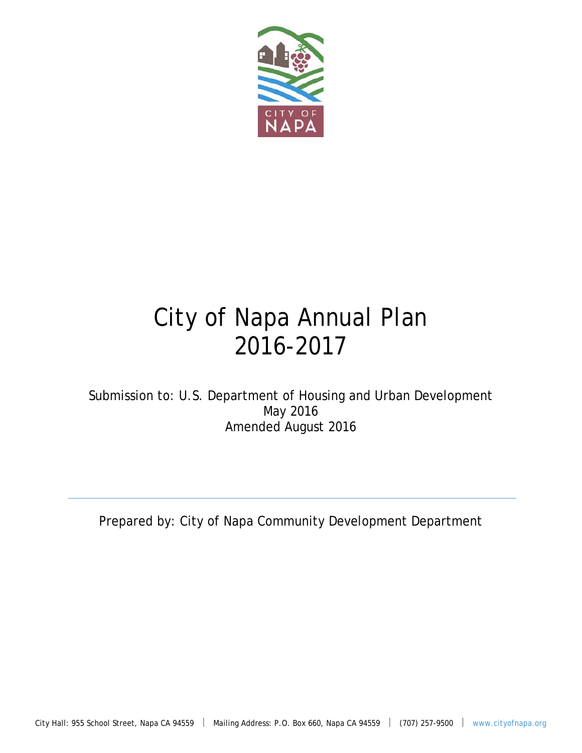

# City of Napa Annual Plan 2016-2017

Submission to: U.S. Department of Housing and Urban Development May 2016 Amended August 2016

Prepared by: City of Napa Community Development Department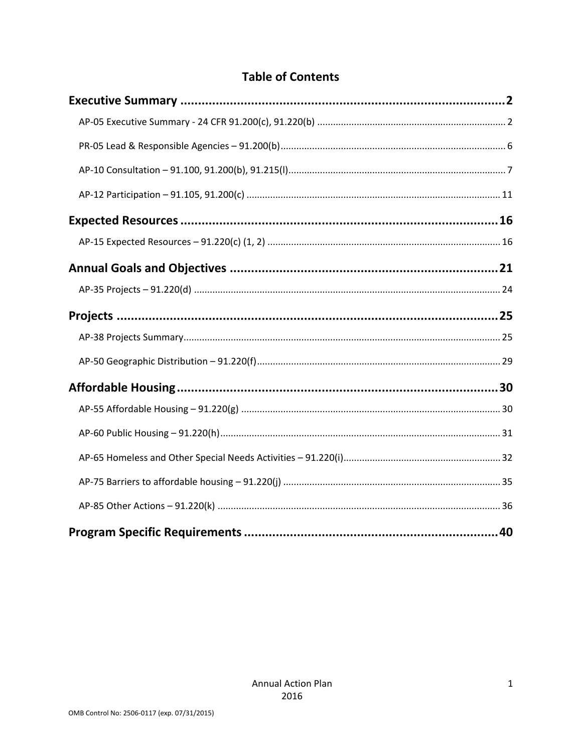# **Table of Contents**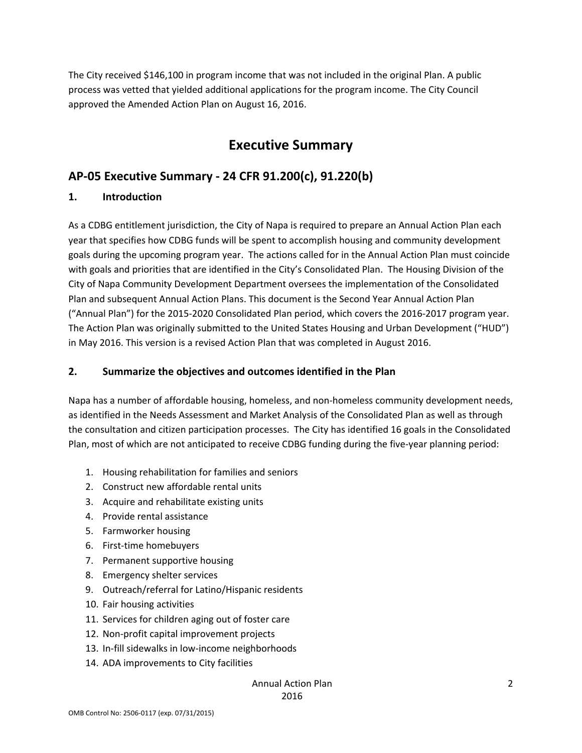The City received \$146,100 in program income that was not included in the original Plan. A public process was vetted that yielded additional applications for the program income. The City Council approved the Amended Action Plan on August 16, 2016.

# **Executive Summary**

# **AP‐05 Executive Summary ‐ 24 CFR 91.200(c), 91.220(b)**

#### **1. Introduction**

As a CDBG entitlement jurisdiction, the City of Napa is required to prepare an Annual Action Plan each year that specifies how CDBG funds will be spent to accomplish housing and community development goals during the upcoming program year. The actions called for in the Annual Action Plan must coincide with goals and priorities that are identified in the City's Consolidated Plan. The Housing Division of the City of Napa Community Development Department oversees the implementation of the Consolidated Plan and subsequent Annual Action Plans. This document is the Second Year Annual Action Plan ("Annual Plan") for the 2015‐2020 Consolidated Plan period, which covers the 2016‐2017 program year. The Action Plan was originally submitted to the United States Housing and Urban Development ("HUD") in May 2016. This version is a revised Action Plan that was completed in August 2016.

#### **2. Summarize the objectives and outcomes identified in the Plan**

Napa has a number of affordable housing, homeless, and non‐homeless community development needs, as identified in the Needs Assessment and Market Analysis of the Consolidated Plan as well as through the consultation and citizen participation processes. The City has identified 16 goals in the Consolidated Plan, most of which are not anticipated to receive CDBG funding during the five-year planning period:

- 1. Housing rehabilitation for families and seniors
- 2. Construct new affordable rental units
- 3. Acquire and rehabilitate existing units
- 4. Provide rental assistance
- 5. Farmworker housing
- 6. First‐time homebuyers
- 7. Permanent supportive housing
- 8. Emergency shelter services
- 9. Outreach/referral for Latino/Hispanic residents
- 10. Fair housing activities
- 11. Services for children aging out of foster care
- 12. Non‐profit capital improvement projects
- 13. In-fill sidewalks in low-income neighborhoods
- 14. ADA improvements to City facilities

#### Annual Action Plan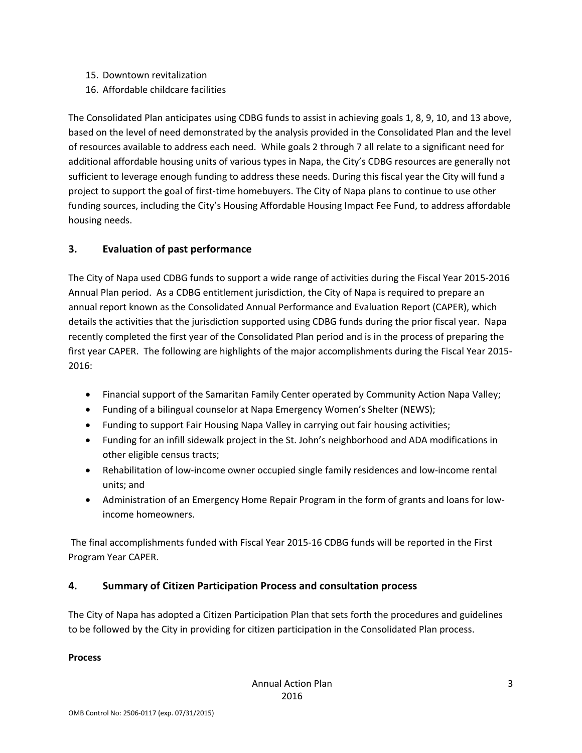- 15. Downtown revitalization
- 16. Affordable childcare facilities

The Consolidated Plan anticipates using CDBG funds to assist in achieving goals 1, 8, 9, 10, and 13 above, based on the level of need demonstrated by the analysis provided in the Consolidated Plan and the level of resources available to address each need. While goals 2 through 7 all relate to a significant need for additional affordable housing units of various types in Napa, the City's CDBG resources are generally not sufficient to leverage enough funding to address these needs. During this fiscal year the City will fund a project to support the goal of first‐time homebuyers. The City of Napa plans to continue to use other funding sources, including the City's Housing Affordable Housing Impact Fee Fund, to address affordable housing needs.

#### **3. Evaluation of past performance**

The City of Napa used CDBG funds to support a wide range of activities during the Fiscal Year 2015‐2016 Annual Plan period. As a CDBG entitlement jurisdiction, the City of Napa is required to prepare an annual report known as the Consolidated Annual Performance and Evaluation Report (CAPER), which details the activities that the jurisdiction supported using CDBG funds during the prior fiscal year. Napa recently completed the first year of the Consolidated Plan period and is in the process of preparing the first year CAPER. The following are highlights of the major accomplishments during the Fiscal Year 2015‐ 2016:

- Financial support of the Samaritan Family Center operated by Community Action Napa Valley;
- Funding of a bilingual counselor at Napa Emergency Women's Shelter (NEWS);
- Funding to support Fair Housing Napa Valley in carrying out fair housing activities;
- Funding for an infill sidewalk project in the St. John's neighborhood and ADA modifications in other eligible census tracts;
- Rehabilitation of low-income owner occupied single family residences and low-income rental units; and
- Administration of an Emergency Home Repair Program in the form of grants and loans for lowincome homeowners.

The final accomplishments funded with Fiscal Year 2015‐16 CDBG funds will be reported in the First Program Year CAPER.

#### **4. Summary of Citizen Participation Process and consultation process**

The City of Napa has adopted a Citizen Participation Plan that sets forth the procedures and guidelines to be followed by the City in providing for citizen participation in the Consolidated Plan process.

#### **Process**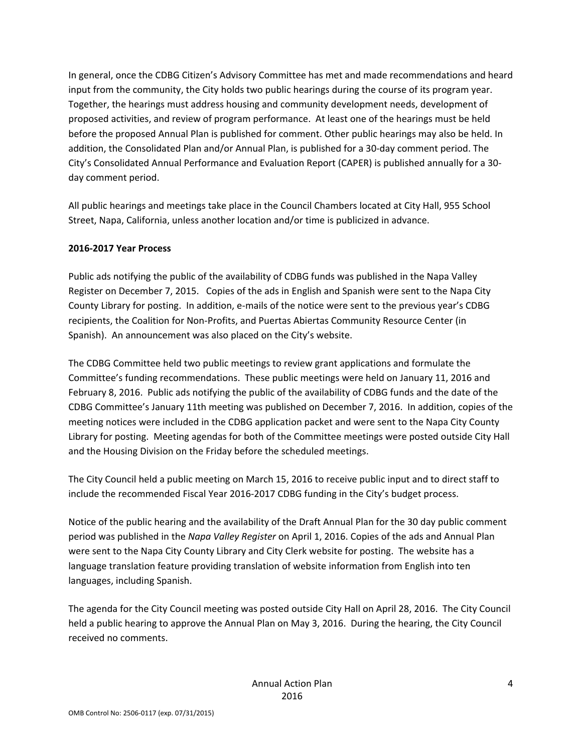In general, once the CDBG Citizen's Advisory Committee has met and made recommendations and heard input from the community, the City holds two public hearings during the course of its program year. Together, the hearings must address housing and community development needs, development of proposed activities, and review of program performance. At least one of the hearings must be held before the proposed Annual Plan is published for comment. Other public hearings may also be held. In addition, the Consolidated Plan and/or Annual Plan, is published for a 30‐day comment period. The City's Consolidated Annual Performance and Evaluation Report (CAPER) is published annually for a 30‐ day comment period.

All public hearings and meetings take place in the Council Chambers located at City Hall, 955 School Street, Napa, California, unless another location and/or time is publicized in advance.

#### **2016‐2017 Year Process**

Public ads notifying the public of the availability of CDBG funds was published in the Napa Valley Register on December 7, 2015. Copies of the ads in English and Spanish were sent to the Napa City County Library for posting. In addition, e‐mails of the notice were sent to the previous year's CDBG recipients, the Coalition for Non‐Profits, and Puertas Abiertas Community Resource Center (in Spanish). An announcement was also placed on the City's website.

The CDBG Committee held two public meetings to review grant applications and formulate the Committee's funding recommendations. These public meetings were held on January 11, 2016 and February 8, 2016. Public ads notifying the public of the availability of CDBG funds and the date of the CDBG Committee's January 11th meeting was published on December 7, 2016. In addition, copies of the meeting notices were included in the CDBG application packet and were sent to the Napa City County Library for posting. Meeting agendas for both of the Committee meetings were posted outside City Hall and the Housing Division on the Friday before the scheduled meetings.

The City Council held a public meeting on March 15, 2016 to receive public input and to direct staff to include the recommended Fiscal Year 2016‐2017 CDBG funding in the City's budget process.

Notice of the public hearing and the availability of the Draft Annual Plan for the 30 day public comment period was published in the *Napa Valley Register* on April 1, 2016. Copies of the ads and Annual Plan were sent to the Napa City County Library and City Clerk website for posting. The website has a language translation feature providing translation of website information from English into ten languages, including Spanish.

The agenda for the City Council meeting was posted outside City Hall on April 28, 2016. The City Council held a public hearing to approve the Annual Plan on May 3, 2016. During the hearing, the City Council received no comments.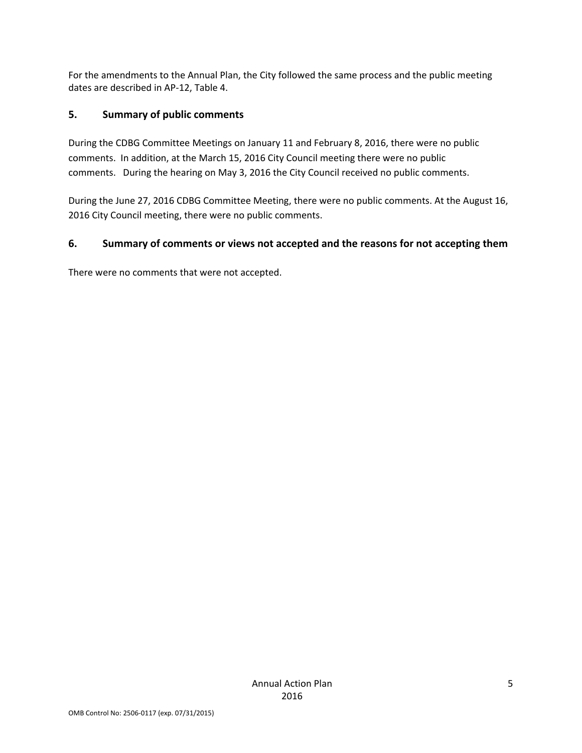For the amendments to the Annual Plan, the City followed the same process and the public meeting dates are described in AP‐12, Table 4.

#### **5. Summary of public comments**

During the CDBG Committee Meetings on January 11 and February 8, 2016, there were no public comments. In addition, at the March 15, 2016 City Council meeting there were no public comments. During the hearing on May 3, 2016 the City Council received no public comments.

During the June 27, 2016 CDBG Committee Meeting, there were no public comments. At the August 16, 2016 City Council meeting, there were no public comments.

#### **6. Summary of comments or views not accepted and the reasons for not accepting them**

There were no comments that were not accepted.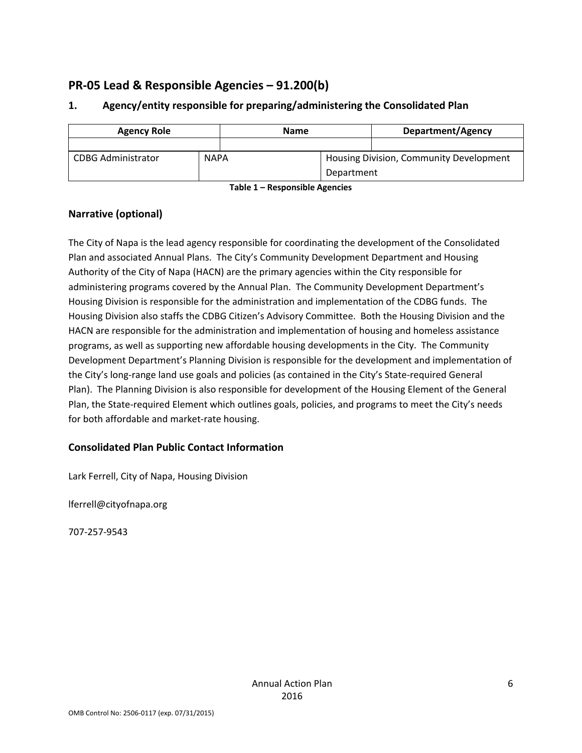# **PR‐05 Lead & Responsible Agencies – 91.200(b)**

| <b>Agency Role</b>        |             | <b>Name</b> |            | <b>Department/Agency</b>                |
|---------------------------|-------------|-------------|------------|-----------------------------------------|
|                           |             |             |            |                                         |
| <b>CDBG Administrator</b> | <b>NAPA</b> |             |            | Housing Division, Community Development |
|                           |             |             | Department |                                         |

#### **1. Agency/entity responsible for preparing/administering the Consolidated Plan**

**Table 1 – Responsible Agencies**

#### **Narrative (optional)**

The City of Napa is the lead agency responsible for coordinating the development of the Consolidated Plan and associated Annual Plans. The City's Community Development Department and Housing Authority of the City of Napa (HACN) are the primary agencies within the City responsible for administering programs covered by the Annual Plan. The Community Development Department's Housing Division is responsible for the administration and implementation of the CDBG funds. The Housing Division also staffs the CDBG Citizen's Advisory Committee. Both the Housing Division and the HACN are responsible for the administration and implementation of housing and homeless assistance programs, as well as supporting new affordable housing developments in the City. The Community Development Department's Planning Division is responsible for the development and implementation of the City's long-range land use goals and policies (as contained in the City's State-required General Plan). The Planning Division is also responsible for development of the Housing Element of the General Plan, the State‐required Element which outlines goals, policies, and programs to meet the City's needs for both affordable and market‐rate housing.

#### **Consolidated Plan Public Contact Information**

Lark Ferrell, City of Napa, Housing Division

lferrell@cityofnapa.org

707‐257‐9543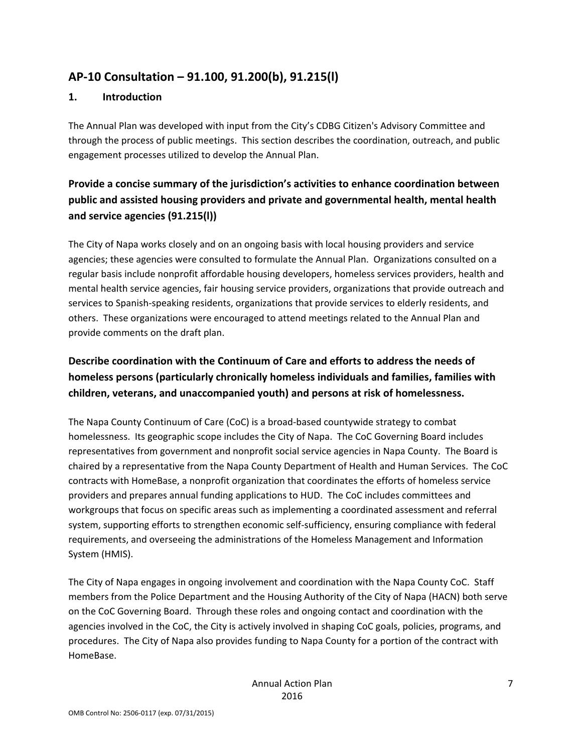# **AP‐10 Consultation – 91.100, 91.200(b), 91.215(l)**

#### **1. Introduction**

The Annual Plan was developed with input from the City's CDBG Citizen's Advisory Committee and through the process of public meetings. This section describes the coordination, outreach, and public engagement processes utilized to develop the Annual Plan.

# **Provide a concise summary of the jurisdiction's activities to enhance coordination between public and assisted housing providers and private and governmental health, mental health and service agencies (91.215(l))**

The City of Napa works closely and on an ongoing basis with local housing providers and service agencies; these agencies were consulted to formulate the Annual Plan. Organizations consulted on a regular basis include nonprofit affordable housing developers, homeless services providers, health and mental health service agencies, fair housing service providers, organizations that provide outreach and services to Spanish-speaking residents, organizations that provide services to elderly residents, and others. These organizations were encouraged to attend meetings related to the Annual Plan and provide comments on the draft plan.

# **Describe coordination with the Continuum of Care and efforts to address the needs of homeless persons (particularly chronically homeless individuals and families, families with children, veterans, and unaccompanied youth) and persons at risk of homelessness.**

The Napa County Continuum of Care (CoC) is a broad‐based countywide strategy to combat homelessness. Its geographic scope includes the City of Napa. The CoC Governing Board includes representatives from government and nonprofit social service agencies in Napa County. The Board is chaired by a representative from the Napa County Department of Health and Human Services. The CoC contracts with HomeBase, a nonprofit organization that coordinates the efforts of homeless service providers and prepares annual funding applications to HUD. The CoC includes committees and workgroups that focus on specific areas such as implementing a coordinated assessment and referral system, supporting efforts to strengthen economic self-sufficiency, ensuring compliance with federal requirements, and overseeing the administrations of the Homeless Management and Information System (HMIS).

The City of Napa engages in ongoing involvement and coordination with the Napa County CoC. Staff members from the Police Department and the Housing Authority of the City of Napa (HACN) both serve on the CoC Governing Board. Through these roles and ongoing contact and coordination with the agencies involved in the CoC, the City is actively involved in shaping CoC goals, policies, programs, and procedures. The City of Napa also provides funding to Napa County for a portion of the contract with HomeBase.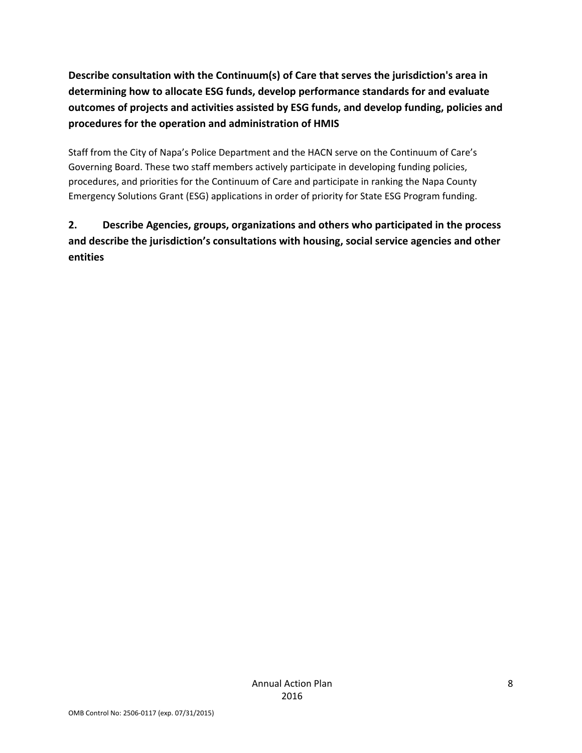**Describe consultation with the Continuum(s) of Care that serves the jurisdiction's area in determining how to allocate ESG funds, develop performance standards for and evaluate outcomes of projects and activities assisted by ESG funds, and develop funding, policies and procedures for the operation and administration of HMIS**

Staff from the City of Napa's Police Department and the HACN serve on the Continuum of Care's Governing Board. These two staff members actively participate in developing funding policies, procedures, and priorities for the Continuum of Care and participate in ranking the Napa County Emergency Solutions Grant (ESG) applications in order of priority for State ESG Program funding.

# **2. Describe Agencies, groups, organizations and others who participated in the process and describe the jurisdiction's consultations with housing, social service agencies and other entities**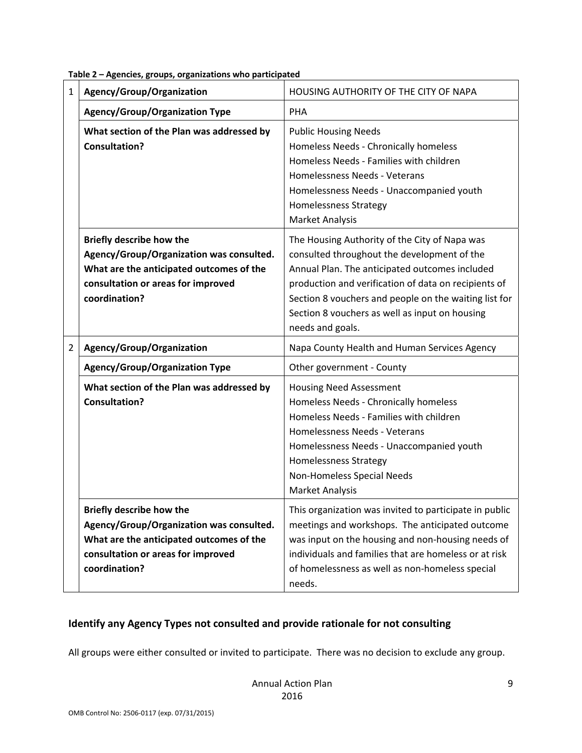| 1              | Agency/Group/Organization                                                                                                                                                      | HOUSING AUTHORITY OF THE CITY OF NAPA                                                                                                                                                                                                                                                                                                 |
|----------------|--------------------------------------------------------------------------------------------------------------------------------------------------------------------------------|---------------------------------------------------------------------------------------------------------------------------------------------------------------------------------------------------------------------------------------------------------------------------------------------------------------------------------------|
|                | <b>Agency/Group/Organization Type</b>                                                                                                                                          | PHA                                                                                                                                                                                                                                                                                                                                   |
|                | What section of the Plan was addressed by<br><b>Consultation?</b>                                                                                                              | <b>Public Housing Needs</b><br>Homeless Needs - Chronically homeless<br>Homeless Needs - Families with children<br>Homelessness Needs - Veterans<br>Homelessness Needs - Unaccompanied youth<br><b>Homelessness Strategy</b><br><b>Market Analysis</b>                                                                                |
|                | <b>Briefly describe how the</b><br>Agency/Group/Organization was consulted.<br>What are the anticipated outcomes of the<br>consultation or areas for improved<br>coordination? | The Housing Authority of the City of Napa was<br>consulted throughout the development of the<br>Annual Plan. The anticipated outcomes included<br>production and verification of data on recipients of<br>Section 8 vouchers and people on the waiting list for<br>Section 8 vouchers as well as input on housing<br>needs and goals. |
| $\overline{2}$ | Agency/Group/Organization                                                                                                                                                      | Napa County Health and Human Services Agency                                                                                                                                                                                                                                                                                          |
|                | <b>Agency/Group/Organization Type</b>                                                                                                                                          | Other government - County                                                                                                                                                                                                                                                                                                             |
|                | What section of the Plan was addressed by<br><b>Consultation?</b>                                                                                                              | <b>Housing Need Assessment</b><br>Homeless Needs - Chronically homeless<br>Homeless Needs - Families with children<br>Homelessness Needs - Veterans<br>Homelessness Needs - Unaccompanied youth<br><b>Homelessness Strategy</b><br>Non-Homeless Special Needs<br><b>Market Analysis</b>                                               |
|                | Briefly describe how the<br>Agency/Group/Organization was consulted.<br>What are the anticipated outcomes of the<br>consultation or areas for improved<br>coordination?        | This organization was invited to participate in public<br>meetings and workshops. The anticipated outcome<br>was input on the housing and non-housing needs of<br>individuals and families that are homeless or at risk<br>of homelessness as well as non-homeless special<br>needs.                                                  |

**Table 2 – Agencies, groups, organizations who participated**

#### **Identify any Agency Types not consulted and provide rationale for not consulting**

All groups were either consulted or invited to participate. There was no decision to exclude any group.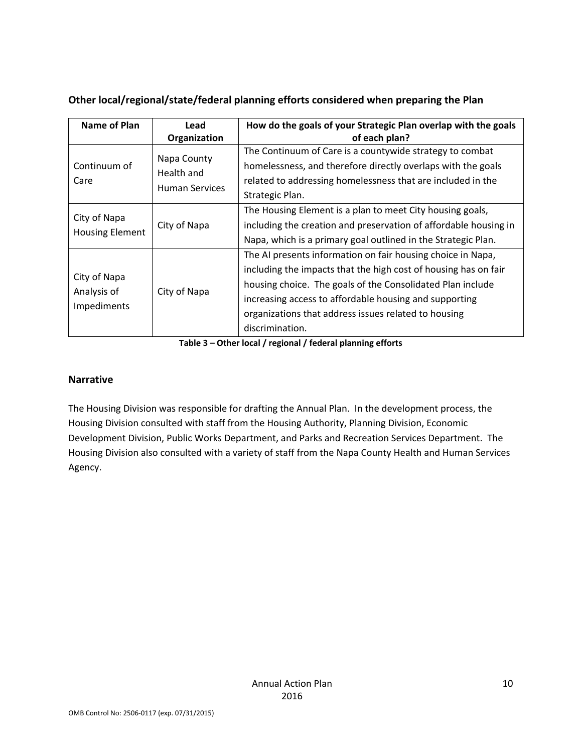| Name of Plan                               | Lead<br>Organization                               | How do the goals of your Strategic Plan overlap with the goals<br>of each plan?                                                                                                                                                                                                                                                   |
|--------------------------------------------|----------------------------------------------------|-----------------------------------------------------------------------------------------------------------------------------------------------------------------------------------------------------------------------------------------------------------------------------------------------------------------------------------|
| Continuum of<br>Care                       | Napa County<br>Health and<br><b>Human Services</b> | The Continuum of Care is a countywide strategy to combat<br>homelessness, and therefore directly overlaps with the goals<br>related to addressing homelessness that are included in the<br>Strategic Plan.                                                                                                                        |
| City of Napa<br><b>Housing Element</b>     | City of Napa                                       | The Housing Element is a plan to meet City housing goals,<br>including the creation and preservation of affordable housing in<br>Napa, which is a primary goal outlined in the Strategic Plan.                                                                                                                                    |
| City of Napa<br>Analysis of<br>Impediments | City of Napa                                       | The AI presents information on fair housing choice in Napa,<br>including the impacts that the high cost of housing has on fair<br>housing choice. The goals of the Consolidated Plan include<br>increasing access to affordable housing and supporting<br>organizations that address issues related to housing<br>discrimination. |

#### **Other local/regional/state/federal planning efforts considered when preparing the Plan**

**Table 3 – Other local / regional / federal planning efforts**

#### **Narrative**

The Housing Division was responsible for drafting the Annual Plan. In the development process, the Housing Division consulted with staff from the Housing Authority, Planning Division, Economic Development Division, Public Works Department, and Parks and Recreation Services Department. The Housing Division also consulted with a variety of staff from the Napa County Health and Human Services Agency.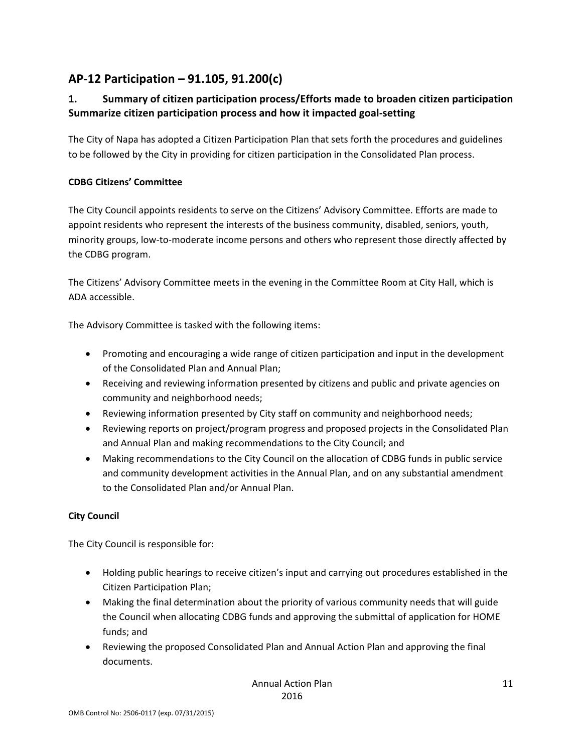# **AP‐12 Participation – 91.105, 91.200(c)**

## **1. Summary of citizen participation process/Efforts made to broaden citizen participation Summarize citizen participation process and how it impacted goal‐setting**

The City of Napa has adopted a Citizen Participation Plan that sets forth the procedures and guidelines to be followed by the City in providing for citizen participation in the Consolidated Plan process.

#### **CDBG Citizens' Committee**

The City Council appoints residents to serve on the Citizens' Advisory Committee. Efforts are made to appoint residents who represent the interests of the business community, disabled, seniors, youth, minority groups, low-to-moderate income persons and others who represent those directly affected by the CDBG program.

The Citizens' Advisory Committee meets in the evening in the Committee Room at City Hall, which is ADA accessible.

The Advisory Committee is tasked with the following items:

- Promoting and encouraging a wide range of citizen participation and input in the development of the Consolidated Plan and Annual Plan;
- Receiving and reviewing information presented by citizens and public and private agencies on community and neighborhood needs;
- Reviewing information presented by City staff on community and neighborhood needs;
- Reviewing reports on project/program progress and proposed projects in the Consolidated Plan and Annual Plan and making recommendations to the City Council; and
- Making recommendations to the City Council on the allocation of CDBG funds in public service and community development activities in the Annual Plan, and on any substantial amendment to the Consolidated Plan and/or Annual Plan.

#### **City Council**

The City Council is responsible for:

- Holding public hearings to receive citizen's input and carrying out procedures established in the Citizen Participation Plan;
- Making the final determination about the priority of various community needs that will guide the Council when allocating CDBG funds and approving the submittal of application for HOME funds; and
- Reviewing the proposed Consolidated Plan and Annual Action Plan and approving the final documents.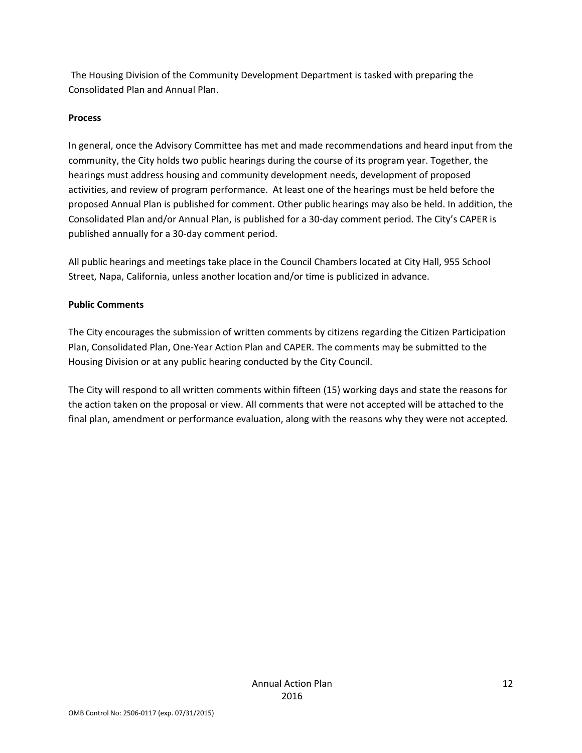The Housing Division of the Community Development Department is tasked with preparing the Consolidated Plan and Annual Plan.

#### **Process**

In general, once the Advisory Committee has met and made recommendations and heard input from the community, the City holds two public hearings during the course of its program year. Together, the hearings must address housing and community development needs, development of proposed activities, and review of program performance. At least one of the hearings must be held before the proposed Annual Plan is published for comment. Other public hearings may also be held. In addition, the Consolidated Plan and/or Annual Plan, is published for a 30‐day comment period. The City's CAPER is published annually for a 30‐day comment period.

All public hearings and meetings take place in the Council Chambers located at City Hall, 955 School Street, Napa, California, unless another location and/or time is publicized in advance.

#### **Public Comments**

The City encourages the submission of written comments by citizens regarding the Citizen Participation Plan, Consolidated Plan, One‐Year Action Plan and CAPER. The comments may be submitted to the Housing Division or at any public hearing conducted by the City Council.

The City will respond to all written comments within fifteen (15) working days and state the reasons for the action taken on the proposal or view. All comments that were not accepted will be attached to the final plan, amendment or performance evaluation, along with the reasons why they were not accepted.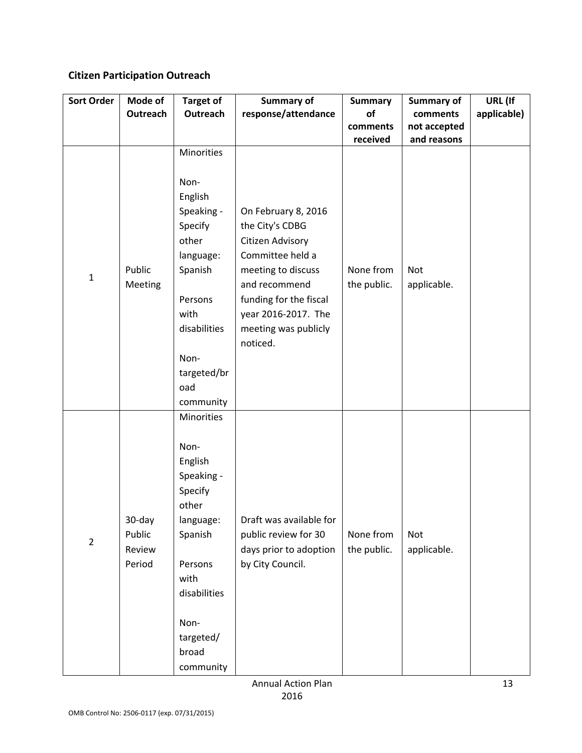# **Citizen Participation Outreach**

| <b>Sort Order</b> | Mode of                              | <b>Target of</b>                                                                                                                                                                   | <b>Summary of</b>                                                                                                                                                                                          | <b>Summary</b>           | Summary of               | URL (If     |
|-------------------|--------------------------------------|------------------------------------------------------------------------------------------------------------------------------------------------------------------------------------|------------------------------------------------------------------------------------------------------------------------------------------------------------------------------------------------------------|--------------------------|--------------------------|-------------|
|                   | Outreach                             | <b>Outreach</b>                                                                                                                                                                    | response/attendance                                                                                                                                                                                        | of<br>comments           | comments<br>not accepted | applicable) |
|                   |                                      |                                                                                                                                                                                    |                                                                                                                                                                                                            | received                 | and reasons              |             |
| $\mathbf 1$       | Public<br>Meeting                    | Minorities<br>Non-<br>English<br>Speaking -<br>Specify<br>other<br>language:<br>Spanish<br>Persons<br>with<br>disabilities<br>Non-<br>targeted/br<br>oad                           | On February 8, 2016<br>the City's CDBG<br>Citizen Advisory<br>Committee held a<br>meeting to discuss<br>and recommend<br>funding for the fiscal<br>year 2016-2017. The<br>meeting was publicly<br>noticed. | None from<br>the public. | Not<br>applicable.       |             |
| $\overline{2}$    | 30-day<br>Public<br>Review<br>Period | community<br>Minorities<br>Non-<br>English<br>Speaking -<br>Specify<br>other<br>language:<br>Spanish<br>Persons<br>with<br>disabilities<br>Non-<br>targeted/<br>broad<br>community | Draft was available for<br>public review for 30<br>days prior to adoption<br>by City Council.                                                                                                              | None from<br>the public. | Not<br>applicable.       |             |

Annual Action Plan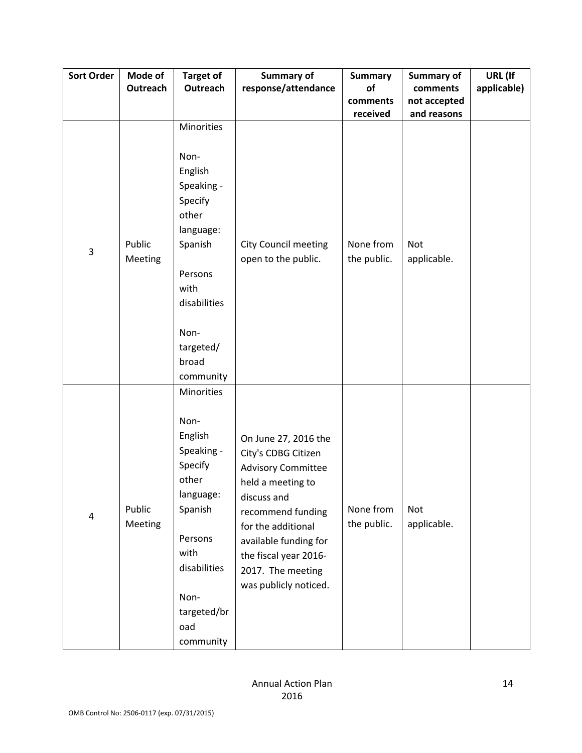| <b>Sort Order</b> | Mode of<br>Outreach | <b>Target of</b><br>Outreach                                                                                                                                                       | <b>Summary of</b><br>response/attendance                                                                                                                                                                                                                | <b>Summary</b><br>of     | Summary of<br>comments    | URL (If<br>applicable) |
|-------------------|---------------------|------------------------------------------------------------------------------------------------------------------------------------------------------------------------------------|---------------------------------------------------------------------------------------------------------------------------------------------------------------------------------------------------------------------------------------------------------|--------------------------|---------------------------|------------------------|
|                   |                     |                                                                                                                                                                                    |                                                                                                                                                                                                                                                         | comments                 | not accepted              |                        |
|                   |                     |                                                                                                                                                                                    |                                                                                                                                                                                                                                                         | received                 | and reasons               |                        |
| 3                 | Public<br>Meeting   | Minorities<br>Non-<br>English<br>Speaking -<br>Specify<br>other<br>language:<br>Spanish<br>Persons<br>with<br>disabilities<br>Non-<br>targeted/<br>broad                           | <b>City Council meeting</b><br>open to the public.                                                                                                                                                                                                      | None from<br>the public. | <b>Not</b><br>applicable. |                        |
| 4                 | Public<br>Meeting   | community<br>Minorities<br>Non-<br>English<br>Speaking -<br>Specify<br>other<br>language:<br>Spanish<br>Persons<br>with<br>disabilities<br>Non-<br>targeted/br<br>oad<br>community | On June 27, 2016 the<br>City's CDBG Citizen<br><b>Advisory Committee</b><br>held a meeting to<br>discuss and<br>recommend funding<br>for the additional<br>available funding for<br>the fiscal year 2016-<br>2017. The meeting<br>was publicly noticed. | None from<br>the public. | <b>Not</b><br>applicable. |                        |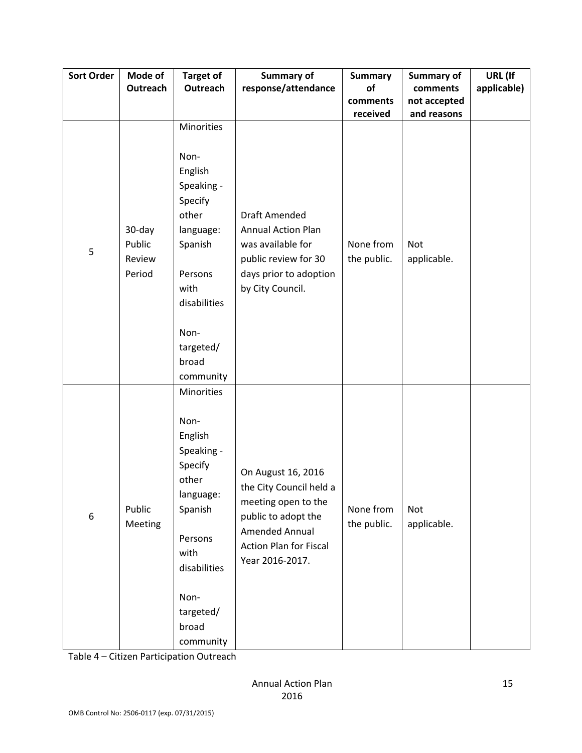| <b>Sort Order</b> | Mode of                              | <b>Target of</b>                                                                                                                                                      | <b>Summary of</b>                                                                                                                                                 | <b>Summary</b>           | Summary of                  | URL (If     |
|-------------------|--------------------------------------|-----------------------------------------------------------------------------------------------------------------------------------------------------------------------|-------------------------------------------------------------------------------------------------------------------------------------------------------------------|--------------------------|-----------------------------|-------------|
|                   | Outreach                             | <b>Outreach</b>                                                                                                                                                       | response/attendance                                                                                                                                               | of                       | comments                    | applicable) |
|                   |                                      |                                                                                                                                                                       |                                                                                                                                                                   | comments<br>received     | not accepted<br>and reasons |             |
| 5                 | 30-day<br>Public<br>Review<br>Period | Minorities<br>Non-<br>English<br>Speaking -<br>Specify<br>other<br>language:<br>Spanish<br>Persons<br>with<br>disabilities<br>Non-<br>targeted/<br>broad<br>community | <b>Draft Amended</b><br><b>Annual Action Plan</b><br>was available for<br>public review for 30<br>days prior to adoption<br>by City Council.                      | None from<br>the public. | <b>Not</b><br>applicable.   |             |
| $\boldsymbol{6}$  | Public<br>Meeting                    | Minorities<br>Non-<br>English<br>Speaking -<br>Specify<br>other<br>language:<br>Spanish<br>Persons<br>with<br>disabilities<br>Non-<br>targeted/<br>broad<br>community | On August 16, 2016<br>the City Council held a<br>meeting open to the<br>public to adopt the<br>Amended Annual<br><b>Action Plan for Fiscal</b><br>Year 2016-2017. | None from<br>the public. | Not<br>applicable.          |             |

Table 4 – Citizen Participation Outreach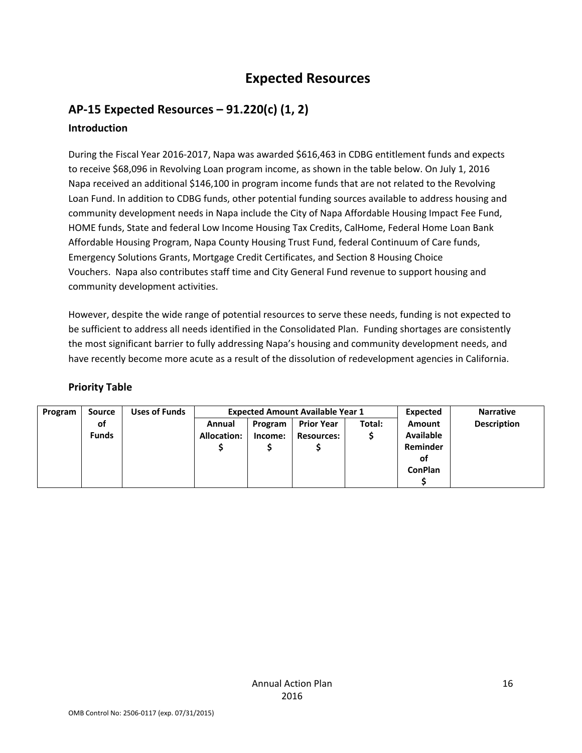# **Expected Resources**

# **AP‐15 Expected Resources – 91.220(c) (1, 2)**

# **Introduction**

During the Fiscal Year 2016‐2017, Napa was awarded \$616,463 in CDBG entitlement funds and expects to receive \$68,096 in Revolving Loan program income, as shown in the table below. On July 1, 2016 Napa received an additional \$146,100 in program income funds that are not related to the Revolving Loan Fund. In addition to CDBG funds, other potential funding sources available to address housing and community development needs in Napa include the City of Napa Affordable Housing Impact Fee Fund, HOME funds, State and federal Low Income Housing Tax Credits, CalHome, Federal Home Loan Bank Affordable Housing Program, Napa County Housing Trust Fund, federal Continuum of Care funds, Emergency Solutions Grants, Mortgage Credit Certificates, and Section 8 Housing Choice Vouchers. Napa also contributes staff time and City General Fund revenue to support housing and community development activities.

However, despite the wide range of potential resources to serve these needs, funding is not expected to be sufficient to address all needs identified in the Consolidated Plan. Funding shortages are consistently the most significant barrier to fully addressing Napa's housing and community development needs, and have recently become more acute as a result of the dissolution of redevelopment agencies in California.

#### **Priority Table**

| Program | <b>Source</b> | <b>Uses of Funds</b> |                    |         | <b>Expected Amount Available Year 1</b> | Expected | <b>Narrative</b>   |  |
|---------|---------------|----------------------|--------------------|---------|-----------------------------------------|----------|--------------------|--|
|         | of            |                      | Annual             | Program | <b>Prior Year</b>                       | Amount   | <b>Description</b> |  |
|         | <b>Funds</b>  |                      | <b>Allocation:</b> | Income: | <b>Resources:</b>                       |          | <b>Available</b>   |  |
|         |               |                      |                    |         |                                         |          | Reminder           |  |
|         |               |                      |                    |         |                                         |          | οf                 |  |
|         |               |                      |                    |         |                                         |          | <b>ConPlan</b>     |  |
|         |               |                      |                    |         |                                         |          |                    |  |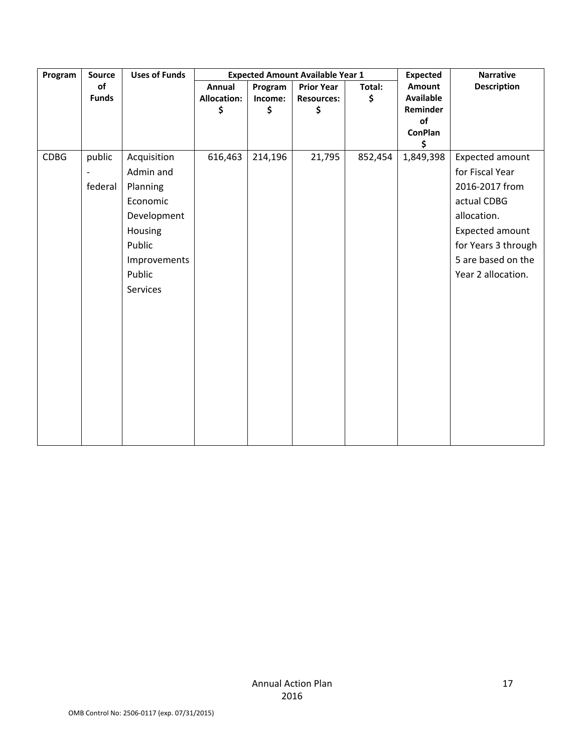| Program | <b>Source</b> | <b>Uses of Funds</b> | <b>Expected Amount Available Year 1</b><br><b>Expected</b> |         |                   |         | <b>Narrative</b>     |                     |
|---------|---------------|----------------------|------------------------------------------------------------|---------|-------------------|---------|----------------------|---------------------|
|         | of            |                      | Annual                                                     | Program | <b>Prior Year</b> | Total:  | Amount               | <b>Description</b>  |
|         | <b>Funds</b>  |                      | <b>Allocation:</b>                                         | Income: | <b>Resources:</b> | \$      | <b>Available</b>     |                     |
|         |               |                      | \$                                                         | \$      | \$                |         | Reminder             |                     |
|         |               |                      |                                                            |         |                   |         | of                   |                     |
|         |               |                      |                                                            |         |                   |         | <b>ConPlan</b><br>\$ |                     |
| CDBG    | public        | Acquisition          | 616,463                                                    | 214,196 | 21,795            | 852,454 | 1,849,398            | Expected amount     |
|         |               | Admin and            |                                                            |         |                   |         |                      | for Fiscal Year     |
|         | federal       | Planning             |                                                            |         |                   |         |                      | 2016-2017 from      |
|         |               | Economic             |                                                            |         |                   |         |                      | actual CDBG         |
|         |               | Development          |                                                            |         |                   |         |                      | allocation.         |
|         |               | Housing              |                                                            |         |                   |         |                      | Expected amount     |
|         |               | Public               |                                                            |         |                   |         |                      | for Years 3 through |
|         |               | Improvements         |                                                            |         |                   |         |                      | 5 are based on the  |
|         |               | Public               |                                                            |         |                   |         |                      | Year 2 allocation.  |
|         |               | Services             |                                                            |         |                   |         |                      |                     |
|         |               |                      |                                                            |         |                   |         |                      |                     |
|         |               |                      |                                                            |         |                   |         |                      |                     |
|         |               |                      |                                                            |         |                   |         |                      |                     |
|         |               |                      |                                                            |         |                   |         |                      |                     |
|         |               |                      |                                                            |         |                   |         |                      |                     |
|         |               |                      |                                                            |         |                   |         |                      |                     |
|         |               |                      |                                                            |         |                   |         |                      |                     |
|         |               |                      |                                                            |         |                   |         |                      |                     |
|         |               |                      |                                                            |         |                   |         |                      |                     |
|         |               |                      |                                                            |         |                   |         |                      |                     |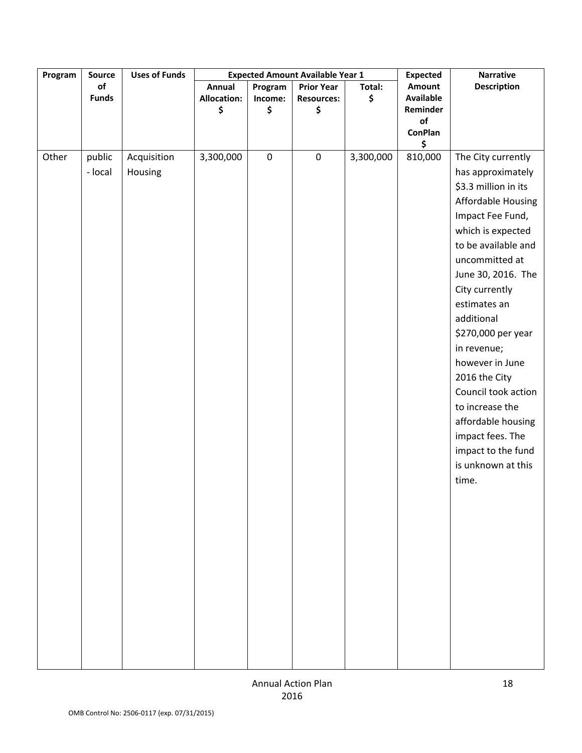| Program | Source       | <b>Uses of Funds</b> |                    |           | <b>Expected Amount Available Year 1</b> |           | <b>Expected</b>  | <b>Narrative</b>          |
|---------|--------------|----------------------|--------------------|-----------|-----------------------------------------|-----------|------------------|---------------------------|
|         | of           |                      | <b>Annual</b>      | Program   | <b>Prior Year</b>                       | Total:    | <b>Amount</b>    | <b>Description</b>        |
|         | <b>Funds</b> |                      | <b>Allocation:</b> | Income:   | <b>Resources:</b>                       | \$        | <b>Available</b> |                           |
|         |              |                      | \$                 | \$        | \$                                      |           | Reminder         |                           |
|         |              |                      |                    |           |                                         |           | of               |                           |
|         |              |                      |                    |           |                                         |           | <b>ConPlan</b>   |                           |
| Other   | public       | Acquisition          | 3,300,000          | $\pmb{0}$ | $\pmb{0}$                               | 3,300,000 | \$<br>810,000    | The City currently        |
|         | - local      | Housing              |                    |           |                                         |           |                  | has approximately         |
|         |              |                      |                    |           |                                         |           |                  | \$3.3 million in its      |
|         |              |                      |                    |           |                                         |           |                  | <b>Affordable Housing</b> |
|         |              |                      |                    |           |                                         |           |                  | Impact Fee Fund,          |
|         |              |                      |                    |           |                                         |           |                  | which is expected         |
|         |              |                      |                    |           |                                         |           |                  | to be available and       |
|         |              |                      |                    |           |                                         |           |                  | uncommitted at            |
|         |              |                      |                    |           |                                         |           |                  | June 30, 2016. The        |
|         |              |                      |                    |           |                                         |           |                  | City currently            |
|         |              |                      |                    |           |                                         |           |                  | estimates an              |
|         |              |                      |                    |           |                                         |           |                  | additional                |
|         |              |                      |                    |           |                                         |           |                  | \$270,000 per year        |
|         |              |                      |                    |           |                                         |           |                  | in revenue;               |
|         |              |                      |                    |           |                                         |           |                  | however in June           |
|         |              |                      |                    |           |                                         |           |                  | 2016 the City             |
|         |              |                      |                    |           |                                         |           |                  | Council took action       |
|         |              |                      |                    |           |                                         |           |                  | to increase the           |
|         |              |                      |                    |           |                                         |           |                  | affordable housing        |
|         |              |                      |                    |           |                                         |           |                  | impact fees. The          |
|         |              |                      |                    |           |                                         |           |                  | impact to the fund        |
|         |              |                      |                    |           |                                         |           |                  | is unknown at this        |
|         |              |                      |                    |           |                                         |           |                  | time.                     |
|         |              |                      |                    |           |                                         |           |                  |                           |
|         |              |                      |                    |           |                                         |           |                  |                           |
|         |              |                      |                    |           |                                         |           |                  |                           |
|         |              |                      |                    |           |                                         |           |                  |                           |
|         |              |                      |                    |           |                                         |           |                  |                           |
|         |              |                      |                    |           |                                         |           |                  |                           |
|         |              |                      |                    |           |                                         |           |                  |                           |
|         |              |                      |                    |           |                                         |           |                  |                           |
|         |              |                      |                    |           |                                         |           |                  |                           |
|         |              |                      |                    |           |                                         |           |                  |                           |
|         |              |                      |                    |           |                                         |           |                  |                           |
|         |              |                      |                    |           |                                         |           |                  |                           |
|         |              |                      |                    |           |                                         |           |                  |                           |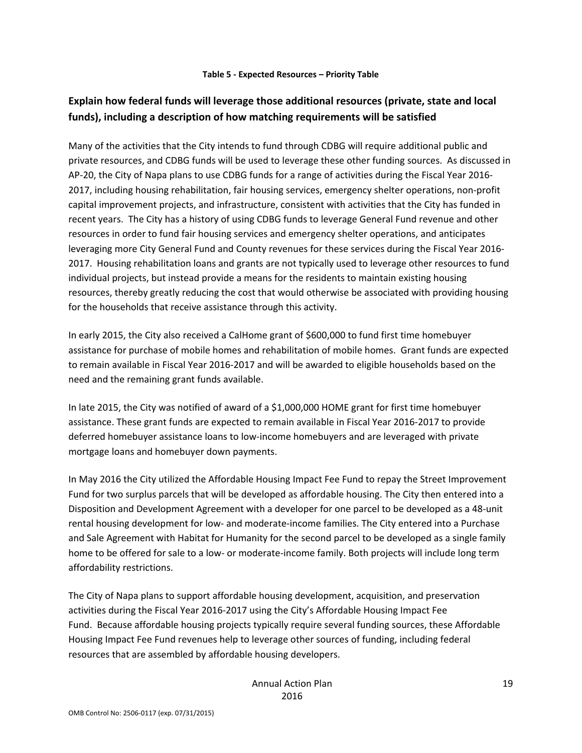#### **Table 5 ‐ Expected Resources – Priority Table**

## **Explain how federal funds will leverage those additional resources (private, state and local funds), including a description of how matching requirements will be satisfied**

Many of the activities that the City intends to fund through CDBG will require additional public and private resources, and CDBG funds will be used to leverage these other funding sources. As discussed in AP-20, the City of Napa plans to use CDBG funds for a range of activities during the Fiscal Year 2016-2017, including housing rehabilitation, fair housing services, emergency shelter operations, non-profit capital improvement projects, and infrastructure, consistent with activities that the City has funded in recent years. The City has a history of using CDBG funds to leverage General Fund revenue and other resources in order to fund fair housing services and emergency shelter operations, and anticipates leveraging more City General Fund and County revenues for these services during the Fiscal Year 2016‐ 2017. Housing rehabilitation loans and grants are not typically used to leverage other resources to fund individual projects, but instead provide a means for the residents to maintain existing housing resources, thereby greatly reducing the cost that would otherwise be associated with providing housing for the households that receive assistance through this activity.

In early 2015, the City also received a CalHome grant of \$600,000 to fund first time homebuyer assistance for purchase of mobile homes and rehabilitation of mobile homes. Grant funds are expected to remain available in Fiscal Year 2016‐2017 and will be awarded to eligible households based on the need and the remaining grant funds available.

In late 2015, the City was notified of award of a \$1,000,000 HOME grant for first time homebuyer assistance. These grant funds are expected to remain available in Fiscal Year 2016‐2017 to provide deferred homebuyer assistance loans to low‐income homebuyers and are leveraged with private mortgage loans and homebuyer down payments.

In May 2016 the City utilized the Affordable Housing Impact Fee Fund to repay the Street Improvement Fund for two surplus parcels that will be developed as affordable housing. The City then entered into a Disposition and Development Agreement with a developer for one parcel to be developed as a 48‐unit rental housing development for low‐ and moderate‐income families. The City entered into a Purchase and Sale Agreement with Habitat for Humanity for the second parcel to be developed as a single family home to be offered for sale to a low‐ or moderate‐income family. Both projects will include long term affordability restrictions.

The City of Napa plans to support affordable housing development, acquisition, and preservation activities during the Fiscal Year 2016‐2017 using the City's Affordable Housing Impact Fee Fund. Because affordable housing projects typically require several funding sources, these Affordable Housing Impact Fee Fund revenues help to leverage other sources of funding, including federal resources that are assembled by affordable housing developers.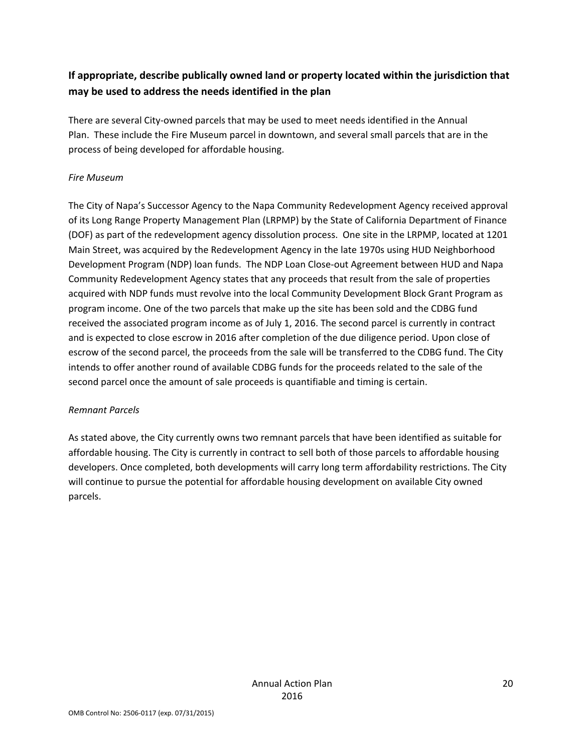# **If appropriate, describe publically owned land or property located within the jurisdiction that may be used to address the needs identified in the plan**

There are several City‐owned parcels that may be used to meet needs identified in the Annual Plan. These include the Fire Museum parcel in downtown, and several small parcels that are in the process of being developed for affordable housing.

#### *Fire Museum*

The City of Napa's Successor Agency to the Napa Community Redevelopment Agency received approval of its Long Range Property Management Plan (LRPMP) by the State of California Department of Finance (DOF) as part of the redevelopment agency dissolution process. One site in the LRPMP, located at 1201 Main Street, was acquired by the Redevelopment Agency in the late 1970s using HUD Neighborhood Development Program (NDP) loan funds. The NDP Loan Close‐out Agreement between HUD and Napa Community Redevelopment Agency states that any proceeds that result from the sale of properties acquired with NDP funds must revolve into the local Community Development Block Grant Program as program income. One of the two parcels that make up the site has been sold and the CDBG fund received the associated program income as of July 1, 2016. The second parcel is currently in contract and is expected to close escrow in 2016 after completion of the due diligence period. Upon close of escrow of the second parcel, the proceeds from the sale will be transferred to the CDBG fund. The City intends to offer another round of available CDBG funds for the proceeds related to the sale of the second parcel once the amount of sale proceeds is quantifiable and timing is certain.

#### *Remnant Parcels*

As stated above, the City currently owns two remnant parcels that have been identified as suitable for affordable housing. The City is currently in contract to sell both of those parcels to affordable housing developers. Once completed, both developments will carry long term affordability restrictions. The City will continue to pursue the potential for affordable housing development on available City owned parcels.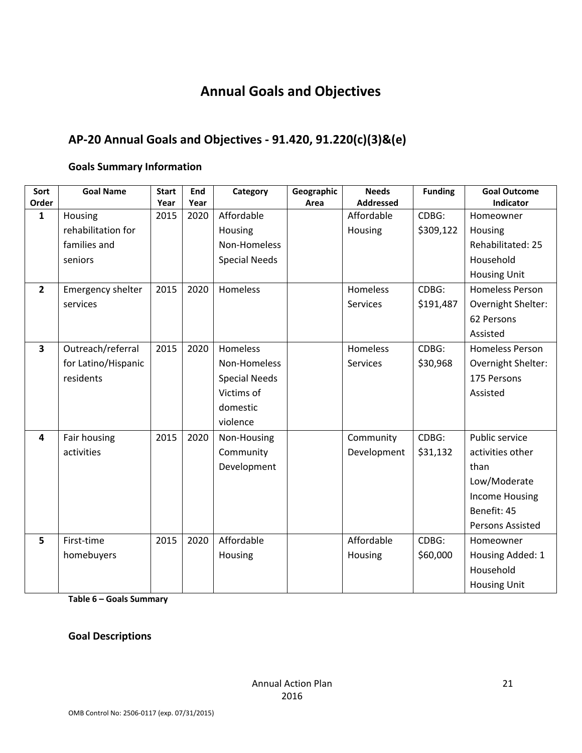# **Annual Goals and Objectives**

# **AP‐20 Annual Goals and Objectives ‐ 91.420, 91.220(c)(3)&(e)**

#### **Goals Summary Information**

| Sort<br>Order           | <b>Goal Name</b>    | <b>Start</b><br>Year | End<br>Year | Category             | Geographic<br>Area | <b>Needs</b><br><b>Addressed</b> | <b>Funding</b> | <b>Goal Outcome</b><br>Indicator |
|-------------------------|---------------------|----------------------|-------------|----------------------|--------------------|----------------------------------|----------------|----------------------------------|
| $\mathbf{1}$            | Housing             | 2015                 | 2020        | Affordable           |                    | Affordable                       | CDBG:          | Homeowner                        |
|                         | rehabilitation for  |                      |             | Housing              |                    | Housing                          | \$309,122      | Housing                          |
|                         | families and        |                      |             | Non-Homeless         |                    |                                  |                | Rehabilitated: 25                |
|                         | seniors             |                      |             | <b>Special Needs</b> |                    |                                  |                | Household                        |
|                         |                     |                      |             |                      |                    |                                  |                | <b>Housing Unit</b>              |
|                         |                     |                      |             |                      |                    |                                  |                |                                  |
| $\overline{\mathbf{2}}$ | Emergency shelter   | 2015                 | 2020        | Homeless             |                    | Homeless                         | CDBG:          | <b>Homeless Person</b>           |
|                         | services            |                      |             |                      |                    | Services                         | \$191,487      | Overnight Shelter:               |
|                         |                     |                      |             |                      |                    |                                  |                | 62 Persons                       |
|                         |                     |                      |             |                      |                    |                                  |                | Assisted                         |
| 3                       | Outreach/referral   | 2015                 | 2020        | Homeless             |                    | <b>Homeless</b>                  | CDBG:          | <b>Homeless Person</b>           |
|                         | for Latino/Hispanic |                      |             | Non-Homeless         |                    | <b>Services</b>                  | \$30,968       | Overnight Shelter:               |
|                         | residents           |                      |             | <b>Special Needs</b> |                    |                                  |                | 175 Persons                      |
|                         |                     |                      |             | Victims of           |                    |                                  |                | Assisted                         |
|                         |                     |                      |             | domestic             |                    |                                  |                |                                  |
|                         |                     |                      |             | violence             |                    |                                  |                |                                  |
| 4                       | Fair housing        | 2015                 | 2020        | Non-Housing          |                    | Community                        | CDBG:          | Public service                   |
|                         | activities          |                      |             | Community            |                    | Development                      | \$31,132       | activities other                 |
|                         |                     |                      |             | Development          |                    |                                  |                | than                             |
|                         |                     |                      |             |                      |                    |                                  |                | Low/Moderate                     |
|                         |                     |                      |             |                      |                    |                                  |                | <b>Income Housing</b>            |
|                         |                     |                      |             |                      |                    |                                  |                | Benefit: 45                      |
|                         |                     |                      |             |                      |                    |                                  |                | <b>Persons Assisted</b>          |
| 5                       | First-time          | 2015                 | 2020        | Affordable           |                    | Affordable                       | CDBG:          | Homeowner                        |
|                         | homebuyers          |                      |             | Housing              |                    | Housing                          | \$60,000       | Housing Added: 1                 |
|                         |                     |                      |             |                      |                    |                                  |                | Household                        |
|                         |                     |                      |             |                      |                    |                                  |                | <b>Housing Unit</b>              |

**Table 6 – Goals Summary**

**Goal Descriptions**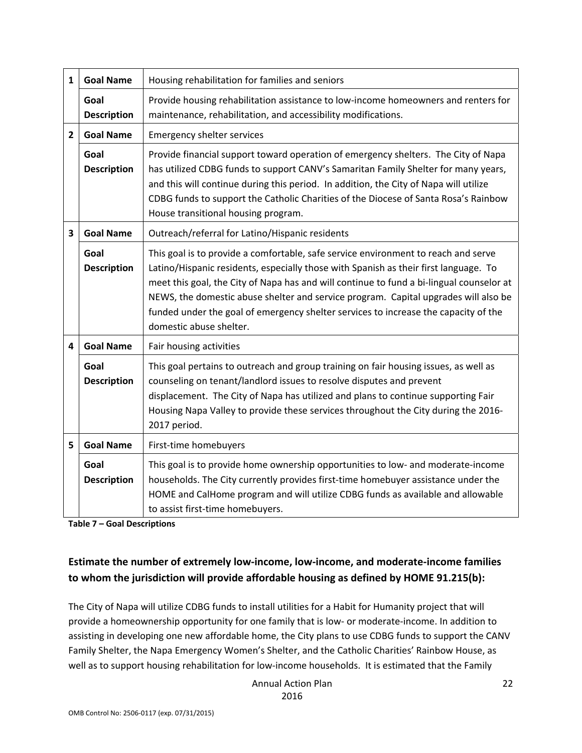| 1              | <b>Goal Name</b>           | Housing rehabilitation for families and seniors                                                                                                                                                                                                                                                                                                                                                                                                                                 |
|----------------|----------------------------|---------------------------------------------------------------------------------------------------------------------------------------------------------------------------------------------------------------------------------------------------------------------------------------------------------------------------------------------------------------------------------------------------------------------------------------------------------------------------------|
|                | Goal<br><b>Description</b> | Provide housing rehabilitation assistance to low-income homeowners and renters for<br>maintenance, rehabilitation, and accessibility modifications.                                                                                                                                                                                                                                                                                                                             |
| $\overline{2}$ | <b>Goal Name</b>           | <b>Emergency shelter services</b>                                                                                                                                                                                                                                                                                                                                                                                                                                               |
|                | Goal<br><b>Description</b> | Provide financial support toward operation of emergency shelters. The City of Napa<br>has utilized CDBG funds to support CANV's Samaritan Family Shelter for many years,<br>and this will continue during this period. In addition, the City of Napa will utilize<br>CDBG funds to support the Catholic Charities of the Diocese of Santa Rosa's Rainbow<br>House transitional housing program.                                                                                 |
| 3              | <b>Goal Name</b>           | Outreach/referral for Latino/Hispanic residents                                                                                                                                                                                                                                                                                                                                                                                                                                 |
|                | Goal<br><b>Description</b> | This goal is to provide a comfortable, safe service environment to reach and serve<br>Latino/Hispanic residents, especially those with Spanish as their first language. To<br>meet this goal, the City of Napa has and will continue to fund a bi-lingual counselor at<br>NEWS, the domestic abuse shelter and service program. Capital upgrades will also be<br>funded under the goal of emergency shelter services to increase the capacity of the<br>domestic abuse shelter. |
| 4              | <b>Goal Name</b>           | Fair housing activities                                                                                                                                                                                                                                                                                                                                                                                                                                                         |
|                | Goal<br><b>Description</b> | This goal pertains to outreach and group training on fair housing issues, as well as<br>counseling on tenant/landlord issues to resolve disputes and prevent<br>displacement. The City of Napa has utilized and plans to continue supporting Fair<br>Housing Napa Valley to provide these services throughout the City during the 2016-<br>2017 period.                                                                                                                         |
| 5              | <b>Goal Name</b>           | First-time homebuyers                                                                                                                                                                                                                                                                                                                                                                                                                                                           |
|                | Goal<br><b>Description</b> | This goal is to provide home ownership opportunities to low- and moderate-income<br>households. The City currently provides first-time homebuyer assistance under the<br>HOME and CalHome program and will utilize CDBG funds as available and allowable<br>to assist first-time homebuyers.                                                                                                                                                                                    |

**Table 7 – Goal Descriptions**

## **Estimate the number of extremely low‐income, low‐income, and moderate‐income families to whom the jurisdiction will provide affordable housing as defined by HOME 91.215(b):**

The City of Napa will utilize CDBG funds to install utilities for a Habit for Humanity project that will provide a homeownership opportunity for one family that is low‐ or moderate‐income. In addition to assisting in developing one new affordable home, the City plans to use CDBG funds to support the CANV Family Shelter, the Napa Emergency Women's Shelter, and the Catholic Charities' Rainbow House, as well as to support housing rehabilitation for low-income households. It is estimated that the Family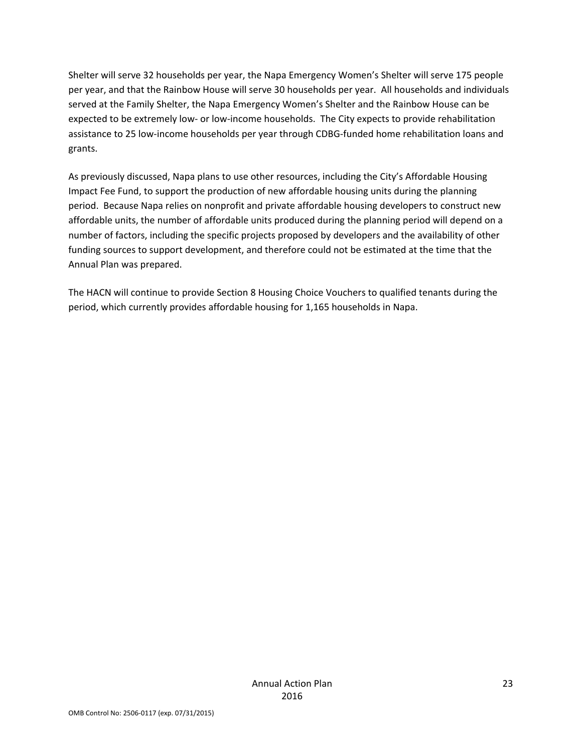Shelter will serve 32 households per year, the Napa Emergency Women's Shelter will serve 175 people per year, and that the Rainbow House will serve 30 households per year. All households and individuals served at the Family Shelter, the Napa Emergency Women's Shelter and the Rainbow House can be expected to be extremely low- or low-income households. The City expects to provide rehabilitation assistance to 25 low‐income households per year through CDBG‐funded home rehabilitation loans and grants.

As previously discussed, Napa plans to use other resources, including the City's Affordable Housing Impact Fee Fund, to support the production of new affordable housing units during the planning period. Because Napa relies on nonprofit and private affordable housing developers to construct new affordable units, the number of affordable units produced during the planning period will depend on a number of factors, including the specific projects proposed by developers and the availability of other funding sources to support development, and therefore could not be estimated at the time that the Annual Plan was prepared.

The HACN will continue to provide Section 8 Housing Choice Vouchers to qualified tenants during the period, which currently provides affordable housing for 1,165 households in Napa.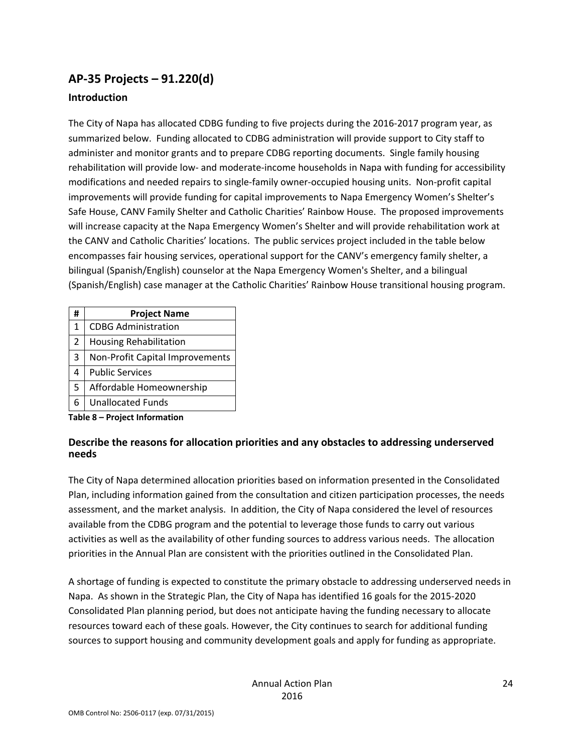# **AP‐35 Projects – 91.220(d)**

#### **Introduction**

The City of Napa has allocated CDBG funding to five projects during the 2016‐2017 program year, as summarized below. Funding allocated to CDBG administration will provide support to City staff to administer and monitor grants and to prepare CDBG reporting documents. Single family housing rehabilitation will provide low‐ and moderate‐income households in Napa with funding for accessibility modifications and needed repairs to single‐family owner‐occupied housing units. Non‐profit capital improvements will provide funding for capital improvements to Napa Emergency Women's Shelter's Safe House, CANV Family Shelter and Catholic Charities' Rainbow House. The proposed improvements will increase capacity at the Napa Emergency Women's Shelter and will provide rehabilitation work at the CANV and Catholic Charities' locations. The public services project included in the table below encompasses fair housing services, operational support for the CANV's emergency family shelter, a bilingual (Spanish/English) counselor at the Napa Emergency Women's Shelter, and a bilingual (Spanish/English) case manager at the Catholic Charities' Rainbow House transitional housing program.

| #                             | <b>Project Name</b>             |  |
|-------------------------------|---------------------------------|--|
| $\mathbf{1}$                  | <b>CDBG Administration</b>      |  |
| $\overline{2}$                | <b>Housing Rehabilitation</b>   |  |
| 3                             | Non-Profit Capital Improvements |  |
| 4                             | <b>Public Services</b>          |  |
| 5                             | Affordable Homeownership        |  |
| 6                             | <b>Unallocated Funds</b>        |  |
| Table 8 – Project Information |                                 |  |

#### **Describe the reasons for allocation priorities and any obstacles to addressing underserved needs**

The City of Napa determined allocation priorities based on information presented in the Consolidated Plan, including information gained from the consultation and citizen participation processes, the needs assessment, and the market analysis. In addition, the City of Napa considered the level of resources available from the CDBG program and the potential to leverage those funds to carry out various activities as well as the availability of other funding sources to address various needs. The allocation priorities in the Annual Plan are consistent with the priorities outlined in the Consolidated Plan.

A shortage of funding is expected to constitute the primary obstacle to addressing underserved needs in Napa. As shown in the Strategic Plan, the City of Napa has identified 16 goals for the 2015‐2020 Consolidated Plan planning period, but does not anticipate having the funding necessary to allocate resources toward each of these goals. However, the City continues to search for additional funding sources to support housing and community development goals and apply for funding as appropriate.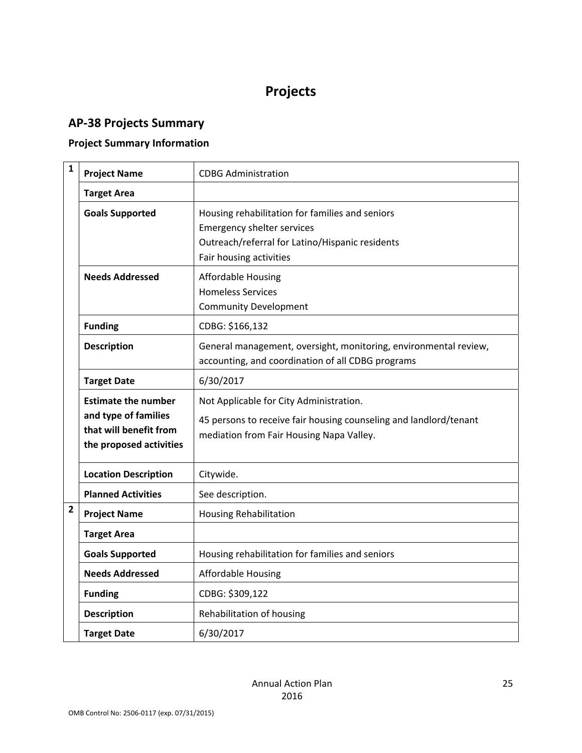# **Projects**

# **AP‐38 Projects Summary**

## **Project Summary Information**

| $\mathbf{1}$   | <b>Project Name</b>                                                                                     | <b>CDBG Administration</b>                                                                                                                                         |
|----------------|---------------------------------------------------------------------------------------------------------|--------------------------------------------------------------------------------------------------------------------------------------------------------------------|
|                | <b>Target Area</b>                                                                                      |                                                                                                                                                                    |
|                | <b>Goals Supported</b>                                                                                  | Housing rehabilitation for families and seniors<br><b>Emergency shelter services</b><br>Outreach/referral for Latino/Hispanic residents<br>Fair housing activities |
|                | <b>Needs Addressed</b>                                                                                  | <b>Affordable Housing</b><br><b>Homeless Services</b><br><b>Community Development</b>                                                                              |
|                | <b>Funding</b>                                                                                          | CDBG: \$166,132                                                                                                                                                    |
|                | <b>Description</b>                                                                                      | General management, oversight, monitoring, environmental review,<br>accounting, and coordination of all CDBG programs                                              |
|                | <b>Target Date</b>                                                                                      | 6/30/2017                                                                                                                                                          |
|                | <b>Estimate the number</b><br>and type of families<br>that will benefit from<br>the proposed activities | Not Applicable for City Administration.<br>45 persons to receive fair housing counseling and landlord/tenant<br>mediation from Fair Housing Napa Valley.           |
|                | <b>Location Description</b>                                                                             | Citywide.                                                                                                                                                          |
|                | <b>Planned Activities</b>                                                                               | See description.                                                                                                                                                   |
| $\overline{2}$ | <b>Project Name</b>                                                                                     | <b>Housing Rehabilitation</b>                                                                                                                                      |
|                | <b>Target Area</b>                                                                                      |                                                                                                                                                                    |
|                | <b>Goals Supported</b>                                                                                  | Housing rehabilitation for families and seniors                                                                                                                    |
|                | <b>Needs Addressed</b>                                                                                  | <b>Affordable Housing</b>                                                                                                                                          |
|                | <b>Funding</b>                                                                                          | CDBG: \$309,122                                                                                                                                                    |
|                | <b>Description</b>                                                                                      | Rehabilitation of housing                                                                                                                                          |
|                | <b>Target Date</b>                                                                                      | 6/30/2017                                                                                                                                                          |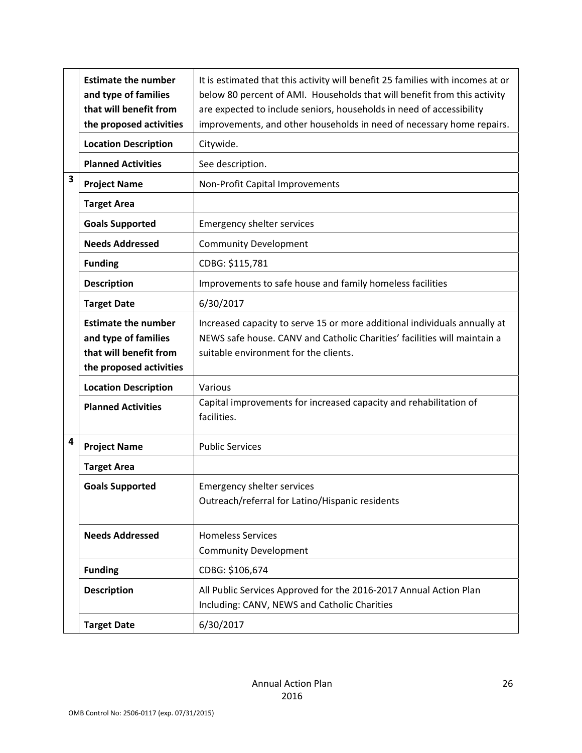|   | <b>Estimate the number</b><br>and type of families<br>that will benefit from<br>the proposed activities | It is estimated that this activity will benefit 25 families with incomes at or<br>below 80 percent of AMI. Households that will benefit from this activity<br>are expected to include seniors, households in need of accessibility<br>improvements, and other households in need of necessary home repairs. |
|---|---------------------------------------------------------------------------------------------------------|-------------------------------------------------------------------------------------------------------------------------------------------------------------------------------------------------------------------------------------------------------------------------------------------------------------|
|   | <b>Location Description</b>                                                                             | Citywide.                                                                                                                                                                                                                                                                                                   |
|   | <b>Planned Activities</b>                                                                               | See description.                                                                                                                                                                                                                                                                                            |
| 3 | <b>Project Name</b>                                                                                     | Non-Profit Capital Improvements                                                                                                                                                                                                                                                                             |
|   | <b>Target Area</b>                                                                                      |                                                                                                                                                                                                                                                                                                             |
|   | <b>Goals Supported</b>                                                                                  | <b>Emergency shelter services</b>                                                                                                                                                                                                                                                                           |
|   | <b>Needs Addressed</b>                                                                                  | <b>Community Development</b>                                                                                                                                                                                                                                                                                |
|   | <b>Funding</b>                                                                                          | CDBG: \$115,781                                                                                                                                                                                                                                                                                             |
|   | <b>Description</b>                                                                                      | Improvements to safe house and family homeless facilities                                                                                                                                                                                                                                                   |
|   | <b>Target Date</b>                                                                                      | 6/30/2017                                                                                                                                                                                                                                                                                                   |
|   | <b>Estimate the number</b><br>and type of families<br>that will benefit from<br>the proposed activities | Increased capacity to serve 15 or more additional individuals annually at<br>NEWS safe house. CANV and Catholic Charities' facilities will maintain a<br>suitable environment for the clients.                                                                                                              |
|   | <b>Location Description</b>                                                                             | Various                                                                                                                                                                                                                                                                                                     |
|   | <b>Planned Activities</b>                                                                               | Capital improvements for increased capacity and rehabilitation of<br>facilities.                                                                                                                                                                                                                            |
| 4 | <b>Project Name</b>                                                                                     | <b>Public Services</b>                                                                                                                                                                                                                                                                                      |
|   | <b>Target Area</b>                                                                                      |                                                                                                                                                                                                                                                                                                             |
|   | <b>Goals Supported</b>                                                                                  | <b>Emergency shelter services</b><br>Outreach/referral for Latino/Hispanic residents                                                                                                                                                                                                                        |
|   | <b>Needs Addressed</b>                                                                                  | <b>Homeless Services</b><br><b>Community Development</b>                                                                                                                                                                                                                                                    |
|   | <b>Funding</b>                                                                                          | CDBG: \$106,674                                                                                                                                                                                                                                                                                             |
|   | <b>Description</b>                                                                                      | All Public Services Approved for the 2016-2017 Annual Action Plan<br>Including: CANV, NEWS and Catholic Charities                                                                                                                                                                                           |
|   | <b>Target Date</b>                                                                                      | 6/30/2017                                                                                                                                                                                                                                                                                                   |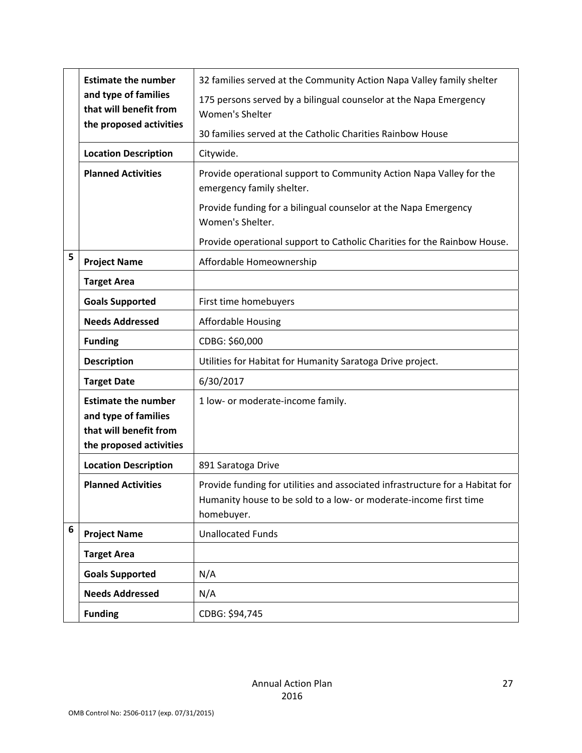|   | <b>Estimate the number</b><br>and type of families<br>that will benefit from<br>the proposed activities | 32 families served at the Community Action Napa Valley family shelter                                                                                            |
|---|---------------------------------------------------------------------------------------------------------|------------------------------------------------------------------------------------------------------------------------------------------------------------------|
|   |                                                                                                         | 175 persons served by a bilingual counselor at the Napa Emergency<br>Women's Shelter                                                                             |
|   |                                                                                                         | 30 families served at the Catholic Charities Rainbow House                                                                                                       |
|   | <b>Location Description</b>                                                                             | Citywide.                                                                                                                                                        |
|   | <b>Planned Activities</b>                                                                               | Provide operational support to Community Action Napa Valley for the<br>emergency family shelter.                                                                 |
|   |                                                                                                         | Provide funding for a bilingual counselor at the Napa Emergency<br>Women's Shelter.                                                                              |
|   |                                                                                                         | Provide operational support to Catholic Charities for the Rainbow House.                                                                                         |
| 5 | <b>Project Name</b>                                                                                     | Affordable Homeownership                                                                                                                                         |
|   | <b>Target Area</b>                                                                                      |                                                                                                                                                                  |
|   | <b>Goals Supported</b>                                                                                  | First time homebuyers                                                                                                                                            |
|   | <b>Needs Addressed</b>                                                                                  | <b>Affordable Housing</b>                                                                                                                                        |
|   | <b>Funding</b>                                                                                          | CDBG: \$60,000                                                                                                                                                   |
|   | <b>Description</b>                                                                                      | Utilities for Habitat for Humanity Saratoga Drive project.                                                                                                       |
|   | <b>Target Date</b>                                                                                      | 6/30/2017                                                                                                                                                        |
|   | <b>Estimate the number</b><br>and type of families<br>that will benefit from<br>the proposed activities | 1 low- or moderate-income family.                                                                                                                                |
|   | <b>Location Description</b>                                                                             | 891 Saratoga Drive                                                                                                                                               |
|   | <b>Planned Activities</b>                                                                               | Provide funding for utilities and associated infrastructure for a Habitat for<br>Humanity house to be sold to a low- or moderate-income first time<br>homebuyer. |
| 6 | <b>Project Name</b>                                                                                     | <b>Unallocated Funds</b>                                                                                                                                         |
|   | <b>Target Area</b>                                                                                      |                                                                                                                                                                  |
|   | <b>Goals Supported</b>                                                                                  | N/A                                                                                                                                                              |
|   | <b>Needs Addressed</b>                                                                                  | N/A                                                                                                                                                              |
|   | <b>Funding</b>                                                                                          | CDBG: \$94,745                                                                                                                                                   |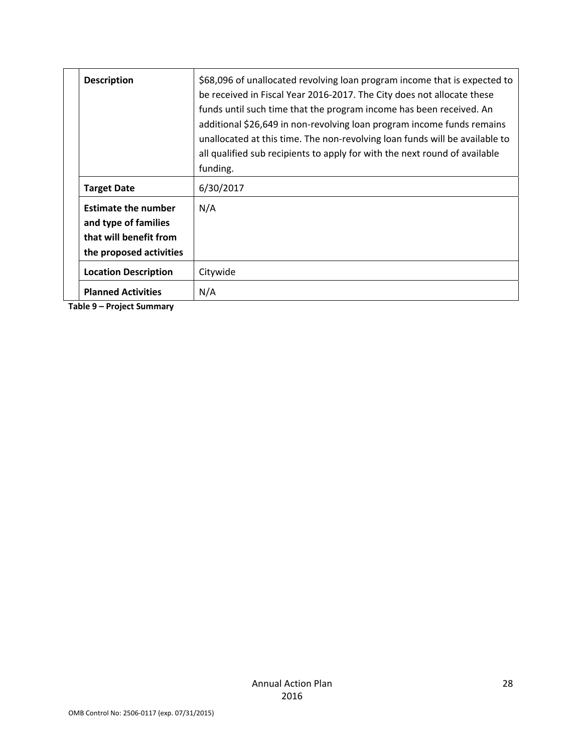|  | <b>Description</b>                                                                                      | \$68,096 of unallocated revolving loan program income that is expected to<br>be received in Fiscal Year 2016-2017. The City does not allocate these<br>funds until such time that the program income has been received. An<br>additional \$26,649 in non-revolving loan program income funds remains<br>unallocated at this time. The non-revolving loan funds will be available to<br>all qualified sub recipients to apply for with the next round of available<br>funding. |
|--|---------------------------------------------------------------------------------------------------------|-------------------------------------------------------------------------------------------------------------------------------------------------------------------------------------------------------------------------------------------------------------------------------------------------------------------------------------------------------------------------------------------------------------------------------------------------------------------------------|
|  | <b>Target Date</b>                                                                                      | 6/30/2017                                                                                                                                                                                                                                                                                                                                                                                                                                                                     |
|  | <b>Estimate the number</b><br>and type of families<br>that will benefit from<br>the proposed activities | N/A                                                                                                                                                                                                                                                                                                                                                                                                                                                                           |
|  | <b>Location Description</b>                                                                             | Citywide                                                                                                                                                                                                                                                                                                                                                                                                                                                                      |
|  | <b>Planned Activities</b>                                                                               | N/A                                                                                                                                                                                                                                                                                                                                                                                                                                                                           |

**Table 9 – Project Summary**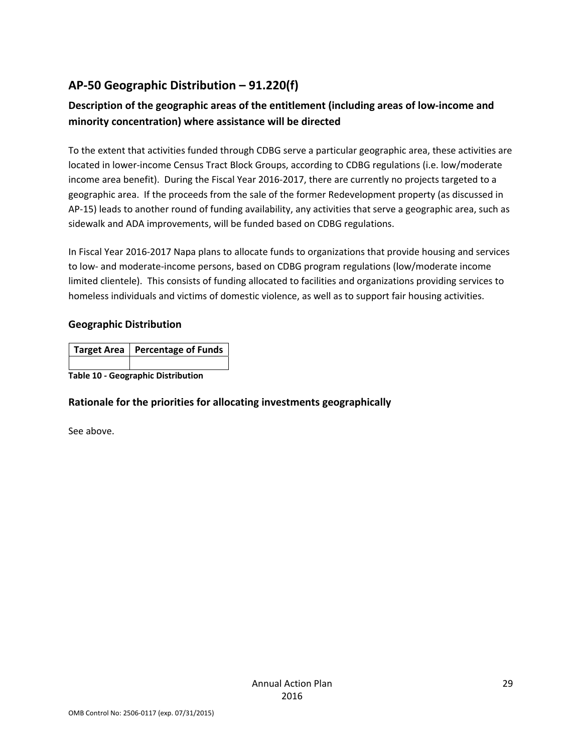# **AP‐50 Geographic Distribution – 91.220(f)**

# **Description of the geographic areas of the entitlement (including areas of low‐income and minority concentration) where assistance will be directed**

To the extent that activities funded through CDBG serve a particular geographic area, these activities are located in lower-income Census Tract Block Groups, according to CDBG regulations (i.e. low/moderate income area benefit). During the Fiscal Year 2016‐2017, there are currently no projects targeted to a geographic area. If the proceeds from the sale of the former Redevelopment property (as discussed in AP-15) leads to another round of funding availability, any activities that serve a geographic area, such as sidewalk and ADA improvements, will be funded based on CDBG regulations.

In Fiscal Year 2016‐2017 Napa plans to allocate funds to organizations that provide housing and services to low‐ and moderate‐income persons, based on CDBG program regulations (low/moderate income limited clientele). This consists of funding allocated to facilities and organizations providing services to homeless individuals and victims of domestic violence, as well as to support fair housing activities.

#### **Geographic Distribution**

|                                           | Target Area   Percentage of Funds |
|-------------------------------------------|-----------------------------------|
|                                           |                                   |
| <b>Table 10 - Geographic Distribution</b> |                                   |

#### **Rationale for the priorities for allocating investments geographically**

See above.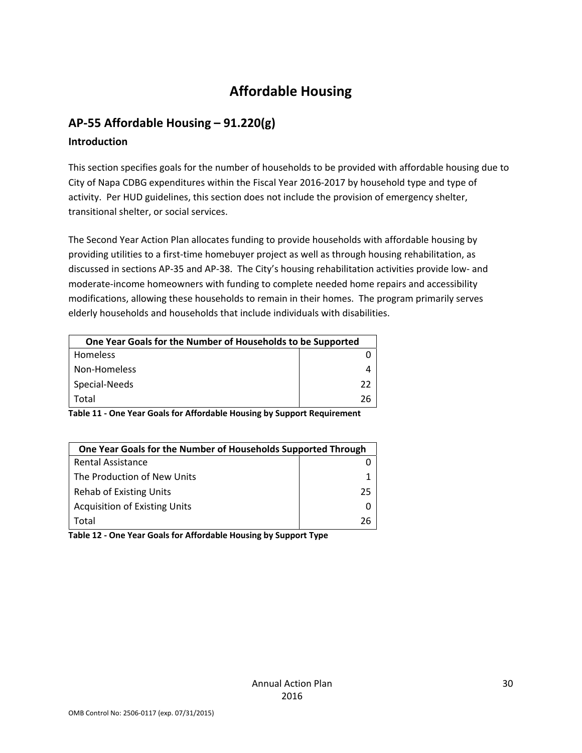# **Affordable Housing**

# **AP‐55 Affordable Housing – 91.220(g)**

#### **Introduction**

This section specifies goals for the number of households to be provided with affordable housing due to City of Napa CDBG expenditures within the Fiscal Year 2016‐2017 by household type and type of activity. Per HUD guidelines, this section does not include the provision of emergency shelter, transitional shelter, or social services.

The Second Year Action Plan allocates funding to provide households with affordable housing by providing utilities to a first‐time homebuyer project as well as through housing rehabilitation, as discussed in sections AP‐35 and AP‐38. The City's housing rehabilitation activities provide low‐ and moderate‐income homeowners with funding to complete needed home repairs and accessibility modifications, allowing these households to remain in their homes. The program primarily serves elderly households and households that include individuals with disabilities.

| One Year Goals for the Number of Households to be Supported |    |
|-------------------------------------------------------------|----|
| <b>Homeless</b>                                             |    |
| Non-Homeless                                                |    |
| Special-Needs                                               | つつ |
| Total                                                       | 26 |

**Table 11 ‐ One Year Goals for Affordable Housing by Support Requirement**

| One Year Goals for the Number of Households Supported Through |    |
|---------------------------------------------------------------|----|
| Rental Assistance                                             |    |
| The Production of New Units                                   |    |
| Rehab of Existing Units                                       | 25 |
| <b>Acquisition of Existing Units</b>                          |    |
| Total                                                         | ንና |

**Table 12 ‐ One Year Goals for Affordable Housing by Support Type**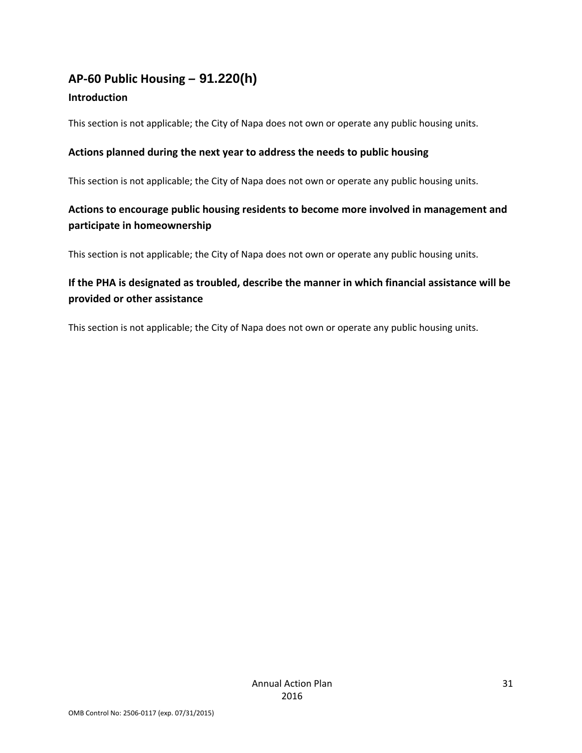# **AP‐60 Public Housing** *–* **91.220(h)**

#### **Introduction**

This section is not applicable; the City of Napa does not own or operate any public housing units.

### **Actions planned during the next year to address the needs to public housing**

This section is not applicable; the City of Napa does not own or operate any public housing units.

# **Actions to encourage public housing residents to become more involved in management and participate in homeownership**

This section is not applicable; the City of Napa does not own or operate any public housing units.

# **If the PHA is designated as troubled, describe the manner in which financial assistance will be provided or other assistance**

This section is not applicable; the City of Napa does not own or operate any public housing units.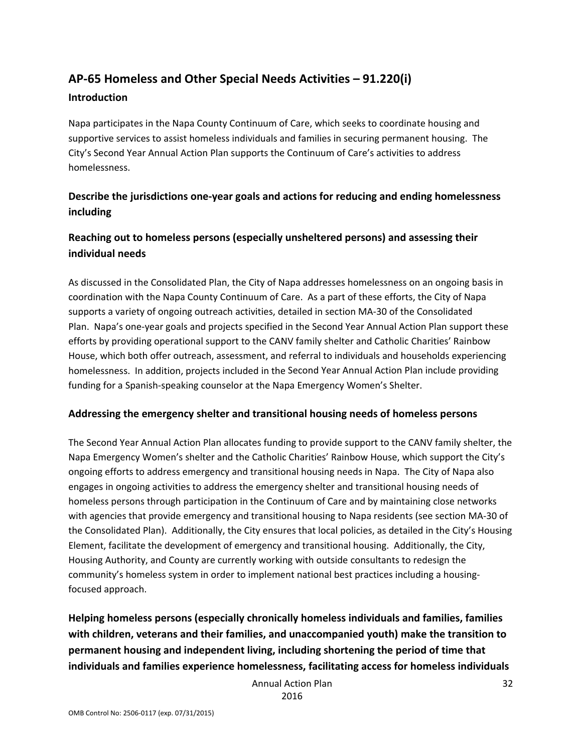# **AP‐65 Homeless and Other Special Needs Activities – 91.220(i)**

#### **Introduction**

Napa participates in the Napa County Continuum of Care, which seeks to coordinate housing and supportive services to assist homeless individuals and families in securing permanent housing. The City's Second Year Annual Action Plan supports the Continuum of Care's activities to address homelessness.

# **Describe the jurisdictions one‐year goals and actions for reducing and ending homelessness including**

## **Reaching out to homeless persons (especially unsheltered persons) and assessing their individual needs**

As discussed in the Consolidated Plan, the City of Napa addresses homelessness on an ongoing basis in coordination with the Napa County Continuum of Care. As a part of these efforts, the City of Napa supports a variety of ongoing outreach activities, detailed in section MA‐30 of the Consolidated Plan. Napa's one‐year goals and projects specified in the Second Year Annual Action Plan support these efforts by providing operational support to the CANV family shelter and Catholic Charities' Rainbow House, which both offer outreach, assessment, and referral to individuals and households experiencing homelessness. In addition, projects included in the Second Year Annual Action Plan include providing funding for a Spanish‐speaking counselor at the Napa Emergency Women's Shelter.

#### **Addressing the emergency shelter and transitional housing needs of homeless persons**

The Second Year Annual Action Plan allocates funding to provide support to the CANV family shelter, the Napa Emergency Women's shelter and the Catholic Charities' Rainbow House, which support the City's ongoing efforts to address emergency and transitional housing needs in Napa. The City of Napa also engages in ongoing activities to address the emergency shelter and transitional housing needs of homeless persons through participation in the Continuum of Care and by maintaining close networks with agencies that provide emergency and transitional housing to Napa residents (see section MA‐30 of the Consolidated Plan). Additionally, the City ensures that local policies, as detailed in the City's Housing Element, facilitate the development of emergency and transitional housing. Additionally, the City, Housing Authority, and County are currently working with outside consultants to redesign the community's homeless system in order to implement national best practices including a housing‐ focused approach.

**Helping homeless persons (especially chronically homeless individuals and families, families with children, veterans and their families, and unaccompanied youth) make the transition to permanent housing and independent living, including shortening the period of time that individuals and families experience homelessness, facilitating access for homeless individuals**

Annual Action Plan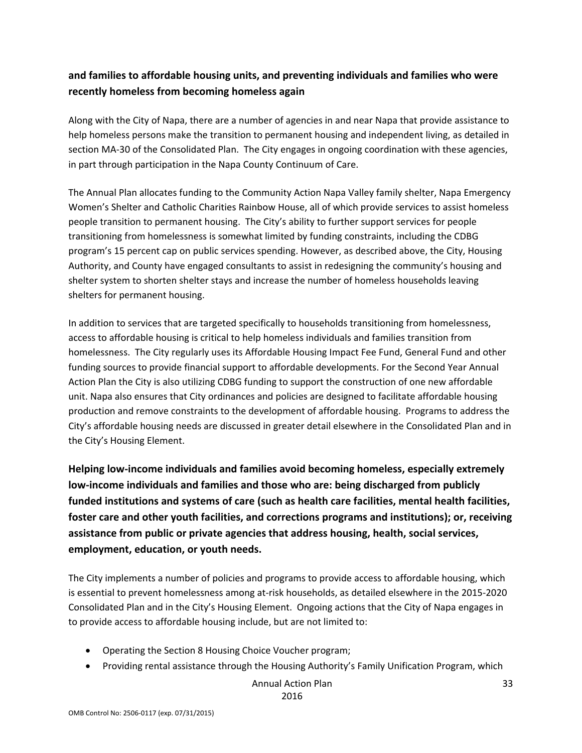## **and families to affordable housing units, and preventing individuals and families who were recently homeless from becoming homeless again**

Along with the City of Napa, there are a number of agencies in and near Napa that provide assistance to help homeless persons make the transition to permanent housing and independent living, as detailed in section MA-30 of the Consolidated Plan. The City engages in ongoing coordination with these agencies, in part through participation in the Napa County Continuum of Care.

The Annual Plan allocates funding to the Community Action Napa Valley family shelter, Napa Emergency Women's Shelter and Catholic Charities Rainbow House, all of which provide services to assist homeless people transition to permanent housing. The City's ability to further support services for people transitioning from homelessness is somewhat limited by funding constraints, including the CDBG program's 15 percent cap on public services spending. However, as described above, the City, Housing Authority, and County have engaged consultants to assist in redesigning the community's housing and shelter system to shorten shelter stays and increase the number of homeless households leaving shelters for permanent housing.

In addition to services that are targeted specifically to households transitioning from homelessness, access to affordable housing is critical to help homeless individuals and families transition from homelessness. The City regularly uses its Affordable Housing Impact Fee Fund, General Fund and other funding sources to provide financial support to affordable developments. For the Second Year Annual Action Plan the City is also utilizing CDBG funding to support the construction of one new affordable unit. Napa also ensures that City ordinances and policies are designed to facilitate affordable housing production and remove constraints to the development of affordable housing. Programs to address the City's affordable housing needs are discussed in greater detail elsewhere in the Consolidated Plan and in the City's Housing Element.

**Helping low‐income individuals and families avoid becoming homeless, especially extremely low‐income individuals and families and those who are: being discharged from publicly funded institutions and systems of care (such as health care facilities, mental health facilities, foster care and other youth facilities, and corrections programs and institutions); or, receiving assistance from public or private agencies that address housing, health, social services, employment, education, or youth needs.**

The City implements a number of policies and programs to provide access to affordable housing, which is essential to prevent homelessness among at-risk households, as detailed elsewhere in the 2015-2020 Consolidated Plan and in the City's Housing Element. Ongoing actions that the City of Napa engages in to provide access to affordable housing include, but are not limited to:

- Operating the Section 8 Housing Choice Voucher program;
- Providing rental assistance through the Housing Authority's Family Unification Program, which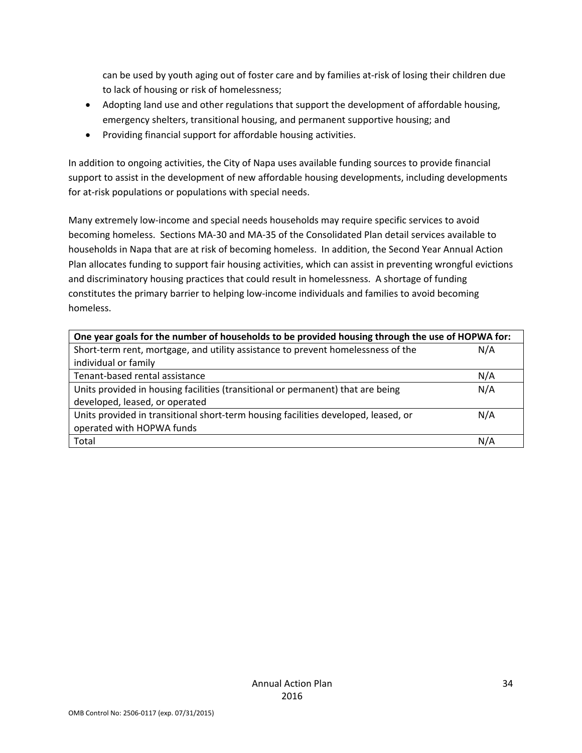can be used by youth aging out of foster care and by families at-risk of losing their children due to lack of housing or risk of homelessness;

- Adopting land use and other regulations that support the development of affordable housing, emergency shelters, transitional housing, and permanent supportive housing; and
- Providing financial support for affordable housing activities.

In addition to ongoing activities, the City of Napa uses available funding sources to provide financial support to assist in the development of new affordable housing developments, including developments for at-risk populations or populations with special needs.

Many extremely low‐income and special needs households may require specific services to avoid becoming homeless. Sections MA‐30 and MA‐35 of the Consolidated Plan detail services available to households in Napa that are at risk of becoming homeless. In addition, the Second Year Annual Action Plan allocates funding to support fair housing activities, which can assist in preventing wrongful evictions and discriminatory housing practices that could result in homelessness. A shortage of funding constitutes the primary barrier to helping low-income individuals and families to avoid becoming homeless.

| One year goals for the number of households to be provided housing through the use of HOPWA for: |     |  |
|--------------------------------------------------------------------------------------------------|-----|--|
| Short-term rent, mortgage, and utility assistance to prevent homelessness of the                 | N/A |  |
| individual or family                                                                             |     |  |
| Tenant-based rental assistance                                                                   | N/A |  |
| Units provided in housing facilities (transitional or permanent) that are being                  | N/A |  |
| developed, leased, or operated                                                                   |     |  |
| Units provided in transitional short-term housing facilities developed, leased, or               | N/A |  |
| operated with HOPWA funds                                                                        |     |  |
| Total                                                                                            | N/A |  |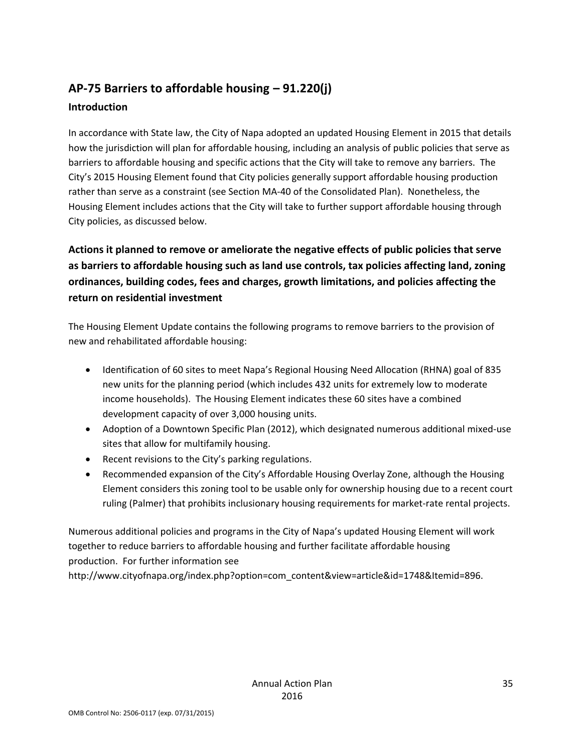# **AP‐75 Barriers to affordable housing – 91.220(j) Introduction**

In accordance with State law, the City of Napa adopted an updated Housing Element in 2015 that details how the jurisdiction will plan for affordable housing, including an analysis of public policies that serve as barriers to affordable housing and specific actions that the City will take to remove any barriers. The City's 2015 Housing Element found that City policies generally support affordable housing production rather than serve as a constraint (see Section MA‐40 of the Consolidated Plan). Nonetheless, the Housing Element includes actions that the City will take to further support affordable housing through City policies, as discussed below.

**Actions it planned to remove or ameliorate the negative effects of public policies that serve as barriers to affordable housing such as land use controls, tax policies affecting land, zoning ordinances, building codes, fees and charges, growth limitations, and policies affecting the return on residential investment**

The Housing Element Update contains the following programs to remove barriers to the provision of new and rehabilitated affordable housing:

- Identification of 60 sites to meet Napa's Regional Housing Need Allocation (RHNA) goal of 835 new units for the planning period (which includes 432 units for extremely low to moderate income households). The Housing Element indicates these 60 sites have a combined development capacity of over 3,000 housing units.
- Adoption of a Downtown Specific Plan (2012), which designated numerous additional mixed-use sites that allow for multifamily housing.
- Recent revisions to the City's parking regulations.
- Recommended expansion of the City's Affordable Housing Overlay Zone, although the Housing Element considers this zoning tool to be usable only for ownership housing due to a recent court ruling (Palmer) that prohibits inclusionary housing requirements for market-rate rental projects.

Numerous additional policies and programs in the City of Napa's updated Housing Element will work together to reduce barriers to affordable housing and further facilitate affordable housing production. For further information see

http://www.cityofnapa.org/index.php?option=com\_content&view=article&id=1748&Itemid=896.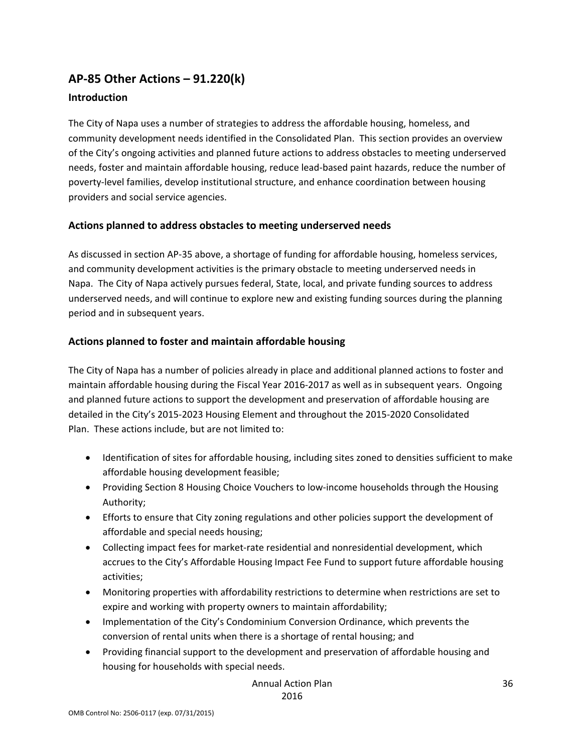# **AP‐85 Other Actions – 91.220(k)**

#### **Introduction**

The City of Napa uses a number of strategies to address the affordable housing, homeless, and community development needs identified in the Consolidated Plan. This section provides an overview of the City's ongoing activities and planned future actions to address obstacles to meeting underserved needs, foster and maintain affordable housing, reduce lead‐based paint hazards, reduce the number of poverty‐level families, develop institutional structure, and enhance coordination between housing providers and social service agencies.

#### **Actions planned to address obstacles to meeting underserved needs**

As discussed in section AP‐35 above, a shortage of funding for affordable housing, homeless services, and community development activities is the primary obstacle to meeting underserved needs in Napa. The City of Napa actively pursues federal, State, local, and private funding sources to address underserved needs, and will continue to explore new and existing funding sources during the planning period and in subsequent years.

#### **Actions planned to foster and maintain affordable housing**

The City of Napa has a number of policies already in place and additional planned actions to foster and maintain affordable housing during the Fiscal Year 2016‐2017 as well as in subsequent years. Ongoing and planned future actions to support the development and preservation of affordable housing are detailed in the City's 2015‐2023 Housing Element and throughout the 2015‐2020 Consolidated Plan. These actions include, but are not limited to:

- Identification of sites for affordable housing, including sites zoned to densities sufficient to make affordable housing development feasible;
- Providing Section 8 Housing Choice Vouchers to low-income households through the Housing Authority;
- Efforts to ensure that City zoning regulations and other policies support the development of affordable and special needs housing;
- Collecting impact fees for market‐rate residential and nonresidential development, which accrues to the City's Affordable Housing Impact Fee Fund to support future affordable housing activities;
- Monitoring properties with affordability restrictions to determine when restrictions are set to expire and working with property owners to maintain affordability;
- Implementation of the City's Condominium Conversion Ordinance, which prevents the conversion of rental units when there is a shortage of rental housing; and
- Providing financial support to the development and preservation of affordable housing and housing for households with special needs.

Annual Action Plan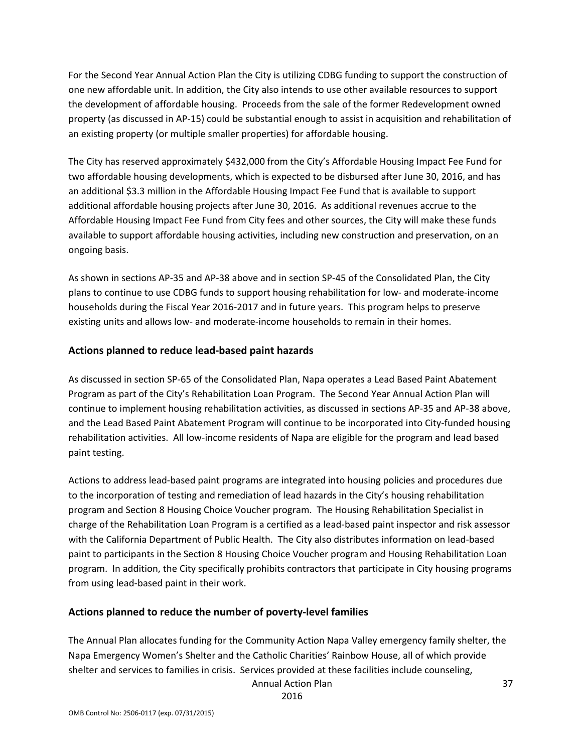For the Second Year Annual Action Plan the City is utilizing CDBG funding to support the construction of one new affordable unit. In addition, the City also intends to use other available resources to support the development of affordable housing. Proceeds from the sale of the former Redevelopment owned property (as discussed in AP‐15) could be substantial enough to assist in acquisition and rehabilitation of an existing property (or multiple smaller properties) for affordable housing.

The City has reserved approximately \$432,000 from the City's Affordable Housing Impact Fee Fund for two affordable housing developments, which is expected to be disbursed after June 30, 2016, and has an additional \$3.3 million in the Affordable Housing Impact Fee Fund that is available to support additional affordable housing projects after June 30, 2016. As additional revenues accrue to the Affordable Housing Impact Fee Fund from City fees and other sources, the City will make these funds available to support affordable housing activities, including new construction and preservation, on an ongoing basis.

As shown in sections AP‐35 and AP‐38 above and in section SP‐45 of the Consolidated Plan, the City plans to continue to use CDBG funds to support housing rehabilitation for low‐ and moderate‐income households during the Fiscal Year 2016‐2017 and in future years. This program helps to preserve existing units and allows low‐ and moderate‐income households to remain in their homes.

#### **Actions planned to reduce lead‐based paint hazards**

As discussed in section SP‐65 of the Consolidated Plan, Napa operates a Lead Based Paint Abatement Program as part of the City's Rehabilitation Loan Program. The Second Year Annual Action Plan will continue to implement housing rehabilitation activities, as discussed in sections AP‐35 and AP‐38 above, and the Lead Based Paint Abatement Program will continue to be incorporated into City-funded housing rehabilitation activities. All low‐income residents of Napa are eligible for the program and lead based paint testing.

Actions to address lead‐based paint programs are integrated into housing policies and procedures due to the incorporation of testing and remediation of lead hazards in the City's housing rehabilitation program and Section 8 Housing Choice Voucher program. The Housing Rehabilitation Specialist in charge of the Rehabilitation Loan Program is a certified as a lead‐based paint inspector and risk assessor with the California Department of Public Health. The City also distributes information on lead‐based paint to participants in the Section 8 Housing Choice Voucher program and Housing Rehabilitation Loan program. In addition, the City specifically prohibits contractors that participate in City housing programs from using lead‐based paint in their work.

## **Actions planned to reduce the number of poverty‐level families**

The Annual Plan allocates funding for the Community Action Napa Valley emergency family shelter, the Napa Emergency Women's Shelter and the Catholic Charities' Rainbow House, all of which provide shelter and services to families in crisis. Services provided at these facilities include counseling,

Annual Action Plan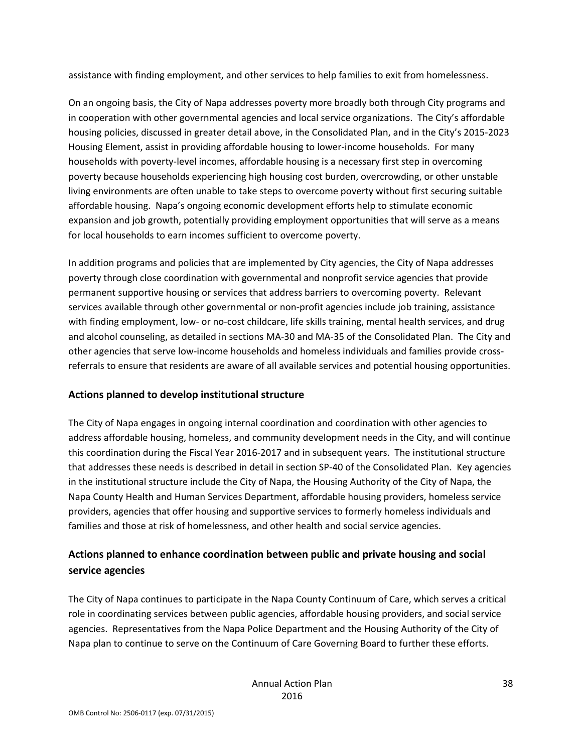assistance with finding employment, and other services to help families to exit from homelessness.

On an ongoing basis, the City of Napa addresses poverty more broadly both through City programs and in cooperation with other governmental agencies and local service organizations. The City's affordable housing policies, discussed in greater detail above, in the Consolidated Plan, and in the City's 2015‐2023 Housing Element, assist in providing affordable housing to lower-income households. For many households with poverty‐level incomes, affordable housing is a necessary first step in overcoming poverty because households experiencing high housing cost burden, overcrowding, or other unstable living environments are often unable to take steps to overcome poverty without first securing suitable affordable housing. Napa's ongoing economic development efforts help to stimulate economic expansion and job growth, potentially providing employment opportunities that will serve as a means for local households to earn incomes sufficient to overcome poverty.

In addition programs and policies that are implemented by City agencies, the City of Napa addresses poverty through close coordination with governmental and nonprofit service agencies that provide permanent supportive housing or services that address barriers to overcoming poverty. Relevant services available through other governmental or non‐profit agencies include job training, assistance with finding employment, low- or no-cost childcare, life skills training, mental health services, and drug and alcohol counseling, as detailed in sections MA‐30 and MA‐35 of the Consolidated Plan. The City and other agencies that serve low‐income households and homeless individuals and families provide cross‐ referrals to ensure that residents are aware of all available services and potential housing opportunities.

#### **Actions planned to develop institutional structure**

The City of Napa engages in ongoing internal coordination and coordination with other agencies to address affordable housing, homeless, and community development needs in the City, and will continue this coordination during the Fiscal Year 2016‐2017 and in subsequent years. The institutional structure that addresses these needs is described in detail in section SP‐40 of the Consolidated Plan. Key agencies in the institutional structure include the City of Napa, the Housing Authority of the City of Napa, the Napa County Health and Human Services Department, affordable housing providers, homeless service providers, agencies that offer housing and supportive services to formerly homeless individuals and families and those at risk of homelessness, and other health and social service agencies.

## **Actions planned to enhance coordination between public and private housing and social service agencies**

The City of Napa continues to participate in the Napa County Continuum of Care, which serves a critical role in coordinating services between public agencies, affordable housing providers, and social service agencies. Representatives from the Napa Police Department and the Housing Authority of the City of Napa plan to continue to serve on the Continuum of Care Governing Board to further these efforts.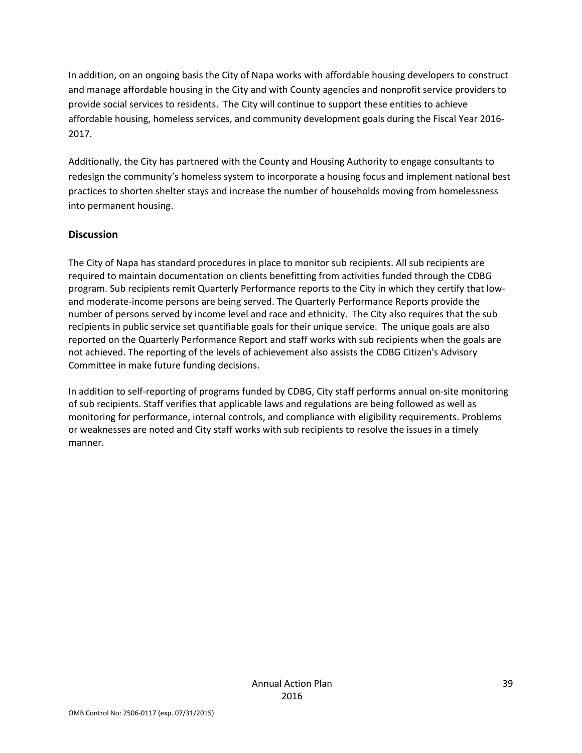In addition, on an ongoing basis the City of Napa works with affordable housing developers to construct and manage affordable housing in the City and with County agencies and nonprofit service providers to provide social services to residents. The City will continue to support these entities to achieve affordable housing, homeless services, and community development goals during the Fiscal Year 2016‐ 2017.

Additionally, the City has partnered with the County and Housing Authority to engage consultants to redesign the community's homeless system to incorporate a housing focus and implement national best practices to shorten shelter stays and increase the number of households moving from homelessness into permanent housing.

#### **Discussion**

The City of Napa has standard procedures in place to monitor sub recipients. All sub recipients are required to maintain documentation on clients benefitting from activities funded through the CDBG program. Sub recipients remit Quarterly Performance reports to the City in which they certify that low‐ and moderate‐income persons are being served. The Quarterly Performance Reports provide the number of persons served by income level and race and ethnicity. The City also requires that the sub recipients in public service set quantifiable goals for their unique service. The unique goals are also reported on the Quarterly Performance Report and staff works with sub recipients when the goals are not achieved. The reporting of the levels of achievement also assists the CDBG Citizen's Advisory Committee in make future funding decisions.

In addition to self‐reporting of programs funded by CDBG, City staff performs annual on‐site monitoring of sub recipients. Staff verifies that applicable laws and regulations are being followed as well as monitoring for performance, internal controls, and compliance with eligibility requirements. Problems or weaknesses are noted and City staff works with sub recipients to resolve the issues in a timely manner.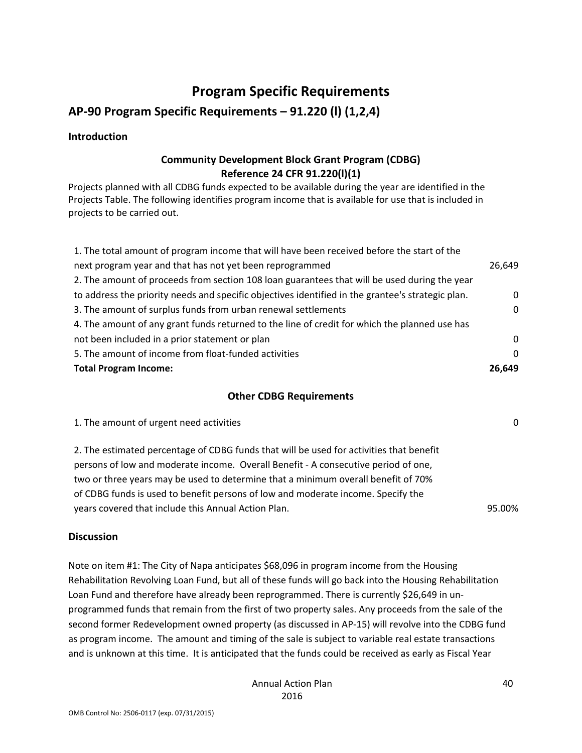# **Program Specific Requirements**

# **AP‐90 Program Specific Requirements – 91.220 (l) (1,2,4)**

#### **Introduction**

#### **Community Development Block Grant Program (CDBG) Reference 24 CFR 91.220(l)(1)**

Projects planned with all CDBG funds expected to be available during the year are identified in the Projects Table. The following identifies program income that is available for use that is included in projects to be carried out.

| 1. The total amount of program income that will have been received before the start of the        |          |
|---------------------------------------------------------------------------------------------------|----------|
| next program year and that has not yet been reprogrammed                                          | 26,649   |
| 2. The amount of proceeds from section 108 loan guarantees that will be used during the year      |          |
| to address the priority needs and specific objectives identified in the grantee's strategic plan. | $\Omega$ |
| 3. The amount of surplus funds from urban renewal settlements                                     | 0        |
| 4. The amount of any grant funds returned to the line of credit for which the planned use has     |          |
| not been included in a prior statement or plan                                                    | $\Omega$ |
| 5. The amount of income from float-funded activities                                              | $\Omega$ |
| <b>Total Program Income:</b>                                                                      | 26.649   |

#### **Other CDBG Requirements**

| 1. The amount of urgent need activities                                                 | $\Omega$ |
|-----------------------------------------------------------------------------------------|----------|
| 2. The estimated percentage of CDBG funds that will be used for activities that benefit |          |
| persons of low and moderate income. Overall Benefit - A consecutive period of one,      |          |
| two or three years may be used to determine that a minimum overall benefit of 70%       |          |
| of CDBG funds is used to benefit persons of low and moderate income. Specify the        |          |

years covered that include this Annual Action Plan. 95.00%

**Discussion**

Note on item #1: The City of Napa anticipates \$68,096 in program income from the Housing Rehabilitation Revolving Loan Fund, but all of these funds will go back into the Housing Rehabilitation Loan Fund and therefore have already been reprogrammed. There is currently \$26,649 in unprogrammed funds that remain from the first of two property sales. Any proceeds from the sale of the second former Redevelopment owned property (as discussed in AP‐15) will revolve into the CDBG fund as program income. The amount and timing of the sale is subject to variable real estate transactions and is unknown at this time. It is anticipated that the funds could be received as early as Fiscal Year